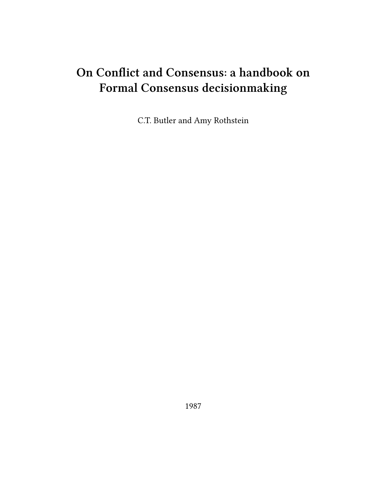# **On Conflict and Consensus: a handbook on Formal Consensus decisionmaking**

C.T. Butler and Amy Rothstein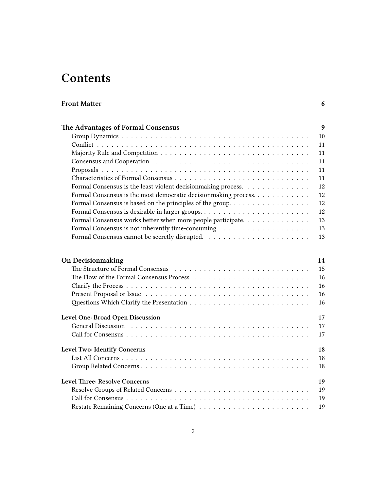# **Contents**

# **[Front Matter](#page-5-0) 6**

| The Advantages of Formal Consensus                                                              | 9  |
|-------------------------------------------------------------------------------------------------|----|
|                                                                                                 | 10 |
|                                                                                                 | 11 |
|                                                                                                 | 11 |
|                                                                                                 | 11 |
|                                                                                                 | 11 |
|                                                                                                 | 11 |
| Formal Consensus is the least violent decision making process.                                  | 12 |
| Formal Consensus is the most democratic decision making process.                                | 12 |
| Formal Consensus is based on the principles of the group. $\dots \dots \dots \dots \dots \dots$ | 12 |
|                                                                                                 | 12 |
| Formal Consensus works better when more people participate.                                     | 13 |
|                                                                                                 | 13 |
|                                                                                                 | 13 |
| <b>On Decision making</b>                                                                       | 14 |
|                                                                                                 | 15 |
|                                                                                                 | 16 |
|                                                                                                 | 16 |
|                                                                                                 | 16 |
|                                                                                                 | 16 |
| Level One: Broad Open Discussion                                                                | 17 |
|                                                                                                 | 17 |
|                                                                                                 | 17 |
| Level Two: Identify Concerns                                                                    | 18 |
|                                                                                                 | 18 |
| $C_{\text{rown}}$ $D_{\text{data}}$ $C_{\text{conorm2}}$                                        | 10 |

| <b>Level Three: Resolve Concerns</b> | 19 |
|--------------------------------------|----|
|                                      |    |
|                                      |    |
|                                      |    |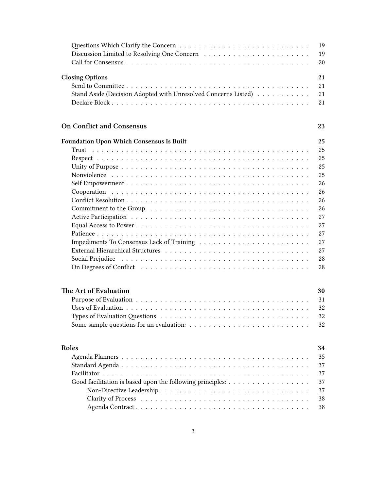|                                                                                                                                                                                                                               | 19 |
|-------------------------------------------------------------------------------------------------------------------------------------------------------------------------------------------------------------------------------|----|
| Discussion Limited to Resolving One Concern (a) results and such a set of the set of the set of the set of the S                                                                                                              | 19 |
|                                                                                                                                                                                                                               | 20 |
|                                                                                                                                                                                                                               | 21 |
| <b>Closing Options</b>                                                                                                                                                                                                        |    |
|                                                                                                                                                                                                                               | 21 |
| Stand Aside (Decision Adopted with Unresolved Concerns Listed)                                                                                                                                                                | 21 |
|                                                                                                                                                                                                                               | 21 |
| <b>On Conflict and Consensus</b>                                                                                                                                                                                              | 23 |
| <b>Foundation Upon Which Consensus Is Built</b>                                                                                                                                                                               | 25 |
|                                                                                                                                                                                                                               | 25 |
|                                                                                                                                                                                                                               | 25 |
|                                                                                                                                                                                                                               | 25 |
|                                                                                                                                                                                                                               | 25 |
|                                                                                                                                                                                                                               | 26 |
|                                                                                                                                                                                                                               | 26 |
|                                                                                                                                                                                                                               | 26 |
|                                                                                                                                                                                                                               | 26 |
|                                                                                                                                                                                                                               | 27 |
|                                                                                                                                                                                                                               | 27 |
|                                                                                                                                                                                                                               | 27 |
|                                                                                                                                                                                                                               | 27 |
|                                                                                                                                                                                                                               | 27 |
| Social Prejudice responses to the contract of the contract of the contract of the contract of the contract of the contract of the contract of the contract of the contract of the contract of the contract of the contract of | 28 |
|                                                                                                                                                                                                                               | 28 |
|                                                                                                                                                                                                                               |    |
| The Art of Evaluation                                                                                                                                                                                                         | 30 |
|                                                                                                                                                                                                                               | 31 |
|                                                                                                                                                                                                                               | 32 |
|                                                                                                                                                                                                                               | 32 |
|                                                                                                                                                                                                                               | 32 |
|                                                                                                                                                                                                                               |    |
| Roles                                                                                                                                                                                                                         | 34 |
|                                                                                                                                                                                                                               | 35 |
|                                                                                                                                                                                                                               | 37 |
|                                                                                                                                                                                                                               | 37 |
|                                                                                                                                                                                                                               | 37 |
|                                                                                                                                                                                                                               | 37 |
|                                                                                                                                                                                                                               | 38 |
|                                                                                                                                                                                                                               | 38 |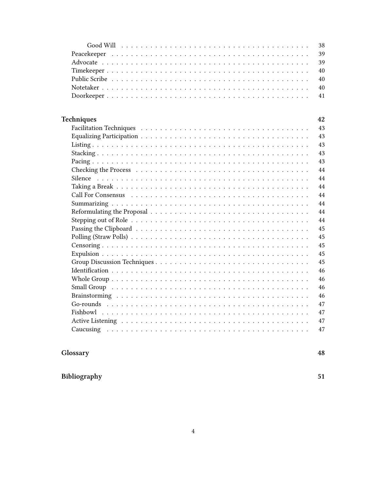| 43 |
|----|
| 43 |
| 43 |
| 43 |
| 43 |
| 44 |
| 44 |
| 44 |
| 44 |
| 44 |
| 44 |
| 44 |
| 45 |
| 45 |
| 45 |
| 45 |
| 45 |
| 46 |
| 46 |
| 46 |
| 46 |
| 47 |
| 47 |
| 47 |
| 47 |

# Glossary

48

Bibliography

51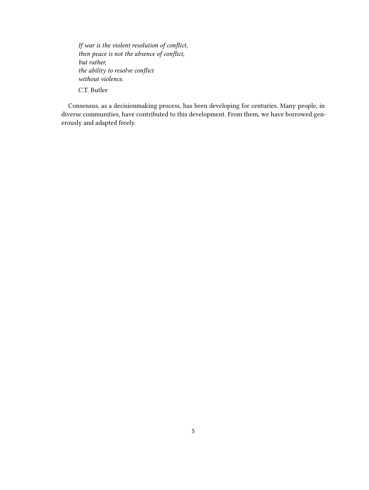*If war is the violent resolution of conflict, then peace is not the absence of conflict, but rather, the ability to resolve conflict without violence.* C.T. Butler

Consensus, as a decisionmaking process, has been developing for centuries. Many people, in diverse communities, have contributed to this development. From them, we have borrowed generously and adapted freely.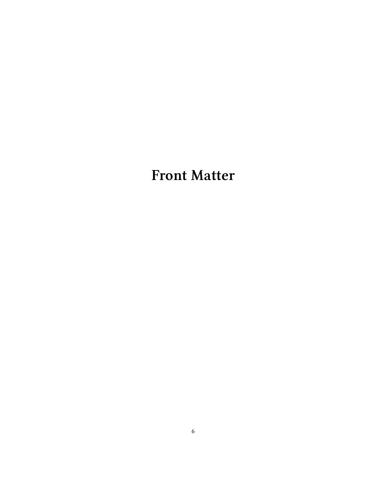<span id="page-5-0"></span>**Front Matter**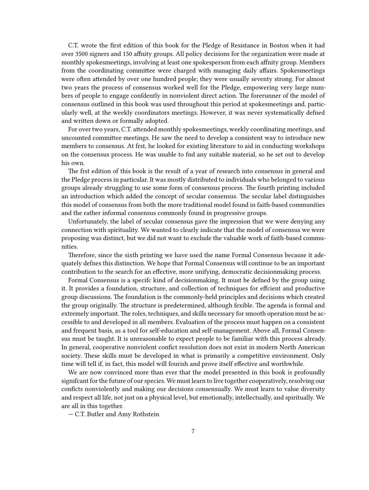C.T. wrote the first edition of this book for the Pledge of Resistance in Boston when it had over 3500 signers and 150 affnity groups. All policy decisions for the organization were made at monthly spokesmeetings, involving at least one spokesperson from each affnity group. Members from the coordinating committee were charged with managing daily affairs. Spokesmeetings were often attended by over one hundred people; they were usually seventy strong. For almost two years the process of consensus worked well for the Pledge, empowering very large numbers of people to engage confdently in nonviolent direct action. The forerunner of the model of consensus outlined in this book was used throughout this period at spokesmeetings and, particularly well, at the weekly coordinators meetings. However, it was never systematically defned and written down or formally adopted.

For over two years, C.T. attended monthly spokesmeetings, weekly coordinating meetings, and uncounted committee meetings. He saw the need to develop a consistent way to introduce new members to consensus. At frst, he looked for existing literature to aid in conducting workshops on the consensus process. He was unable to fnd any suitable material, so he set out to develop his own.

The frst edition of this book is the result of a year of research into consensus in general and the Pledge process in particular. It was mostly distributed to individuals who belonged to various groups already struggling to use some form of consensus process. The fourth printing included an introduction which added the concept of secular consensus. The secular label distinguishes this model of consensus from both the more traditional model found in faith-based communities and the rather informal consensus commonly found in progressive groups.

Unfortunately, the label of secular consensus gave the impression that we were denying any connection with spirituality. We wanted to clearly indicate that the model of consensus we were proposing was distinct, but we did not want to exclude the valuable work of faith-based communities.

Therefore, since the sixth printing we have used the name Formal Consensus because it adequately defnes this distinction. We hope that Formal Consensus will continue to be an important contribution to the search for an effective, more unifying, democratic decisionmaking process.

Formal Consensus is a specifc kind of decisionmaking. It must be defned by the group using it. It provides a foundation, structure, and collection of techniques for effcient and productive group discussions. The foundation is the commonly-held principles and decisions which created the group originally. The structure is predetermined, although fexible. The agenda is formal and extremely important. The roles, techniques, and skills necessary for smooth operation must be accessible to and developed in all members. Evaluation of the process must happen on a consistent and frequent basis, as a tool for self-education and self-management. Above all, Formal Consensus must be taught. It is unreasonable to expect people to be familiar with this process already. In general, cooperative nonviolent confict resolution does not exist in modern North American society. These skills must be developed in what is primarily a competitive environment. Only time will tell if, in fact, this model will fourish and prove itself effective and worthwhile.

We are now convinced more than ever that the model presented in this book is profoundly signifcant for the future of our species. We must learn to live together cooperatively, resolving our conficts nonviolently and making our decisions consensually. We must learn to value diversity and respect all life, not just on a physical level, but emotionally, intellectually, and spiritually. We are all in this together.

— C.T. Butler and Amy Rothstein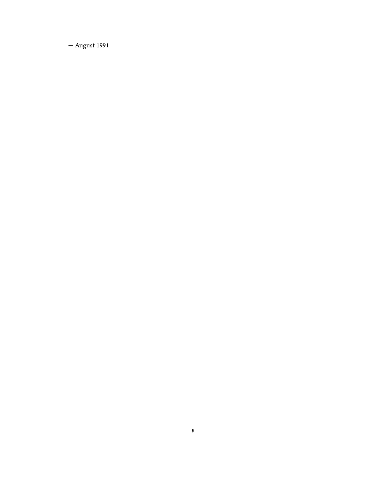— August 1991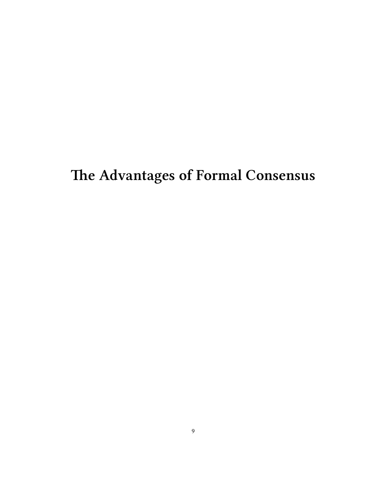# <span id="page-8-0"></span>**The Advantages of Formal Consensus**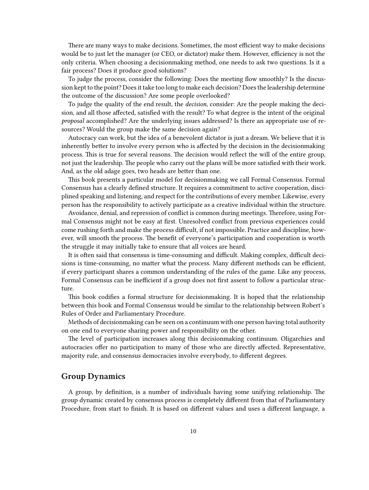There are many ways to make decisions. Sometimes, the most efficient way to make decisions would be to just let the manager (or CEO, or dictator) make them. However, efficiency is not the only criteria. When choosing a decisionmaking method, one needs to ask two questions. Is it a fair process? Does it produce good solutions?

To judge the process, consider the following: Does the meeting flow smoothly? Is the discussion kept to the point? Does it take too long to make each decision? Does the leadership determine the outcome of the discussion? Are some people overlooked?

To judge the quality of the end result, the *decision,* consider: Are the people making the decision, and all those affected, satisfied with the result? To what degree is the intent of the original *proposal* accomplished? Are the underlying issues addressed? Is there an appropriate use of resources? Would the group make the same decision again?

Autocracy can work, but the idea of a benevolent dictator is just a dream. We believe that it is inherently better to involve every person who is affected by the decision in the decisionmaking process. This is true for several reasons. The decision would reflect the will of the entire group, not just the leadership. The people who carry out the plans will be more satisfied with their work. And, as the old adage goes, two heads are better than one.

This book presents a particular model for decisionmaking we call Formal Consensus. Formal Consensus has a clearly defined structure. It requires a commitment to active cooperation, disciplined speaking and listening, and respect for the contributions of every member. Likewise, every person has the responsibility to actively participate as a creative individual within the structure.

Avoidance, denial, and repression of conflict is common during meetings. Therefore, using Formal Consensus might not be easy at first. Unresolved conflict from previous experiences could come rushing forth and make the process difficult, if not impossible. Practice and discipline, however, will smooth the process. The benefit of everyone's participation and cooperation is worth the struggle it may initially take to ensure that all voices are heard.

It is often said that consensus is time-consuming and difficult. Making complex, difficult decisions is time-consuming, no matter what the process. Many different methods can be efficient, if every participant shares a common understanding of the rules of the game. Like any process, Formal Consensus can be inefficient if a group does not first assent to follow a particular structure.

This book codifies a formal structure for decisionmaking. It is hoped that the relationship between this book and Formal Consensus would be similar to the relationship between Robert's Rules of Order and Parliamentary Procedure.

Methods of decisionmaking can be seen on a continuum with one person having total authority on one end to everyone sharing power and responsibility on the other.

The level of participation increases along this decisionmaking continuum. Oligarchies and autocracies offer no participation to many of those who are directly affected. Representative, majority rule, and consensus democracies involve everybody, to different degrees.

#### <span id="page-9-0"></span>**Group Dynamics**

A group, by definition, is a number of individuals having some unifying relationship. The group dynamic created by consensus process is completely different from that of Parliamentary Procedure, from start to finish. It is based on different values and uses a different language, a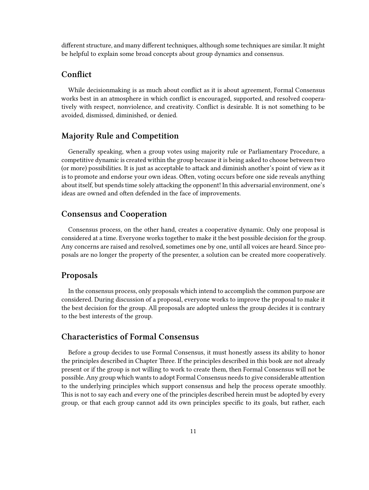different structure, and many different techniques, although some techniques are similar. It might be helpful to explain some broad concepts about group dynamics and consensus.

# <span id="page-10-0"></span>**Conflict**

While decisionmaking is as much about conflict as it is about agreement, Formal Consensus works best in an atmosphere in which conflict is encouraged, supported, and resolved cooperatively with respect, nonviolence, and creativity. Conflict is desirable. It is not something to be avoided, dismissed, diminished, or denied.

#### <span id="page-10-1"></span>**Majority Rule and Competition**

Generally speaking, when a group votes using majority rule or Parliamentary Procedure, a competitive dynamic is created within the group because it is being asked to choose between two (or more) possibilities. It is just as acceptable to attack and diminish another's point of view as it is to promote and endorse your own ideas. Often, voting occurs before one side reveals anything about itself, but spends time solely attacking the opponent! In this adversarial environment, one's ideas are owned and often defended in the face of improvements.

#### <span id="page-10-2"></span>**Consensus and Cooperation**

Consensus process, on the other hand, creates a cooperative dynamic. Only one proposal is considered at a time. Everyone works together to make it the best possible decision for the group. Any concerns are raised and resolved, sometimes one by one, until all voices are heard. Since proposals are no longer the property of the presenter, a solution can be created more cooperatively.

#### <span id="page-10-3"></span>**Proposals**

In the consensus process, only proposals which intend to accomplish the common purpose are considered. During discussion of a proposal, everyone works to improve the proposal to make it the best decision for the group. All proposals are adopted unless the group decides it is contrary to the best interests of the group.

## <span id="page-10-4"></span>**Characteristics of Formal Consensus**

Before a group decides to use Formal Consensus, it must honestly assess its ability to honor the principles described in Chapter Three. If the principles described in this book are not already present or if the group is not willing to work to create them, then Formal Consensus will not be possible. Any group which wants to adopt Formal Consensus needs to give considerable attention to the underlying principles which support consensus and help the process operate smoothly. This is not to say each and every one of the principles described herein must be adopted by every group, or that each group cannot add its own principles specific to its goals, but rather, each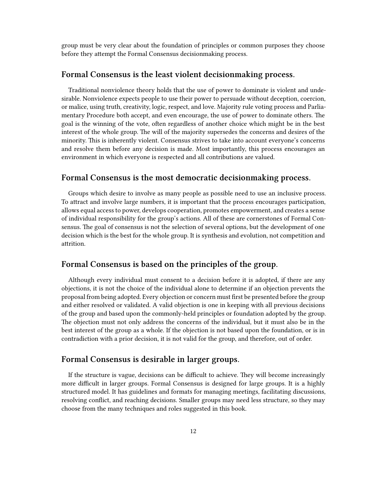group must be very clear about the foundation of principles or common purposes they choose before they attempt the Formal Consensus decisionmaking process.

#### <span id="page-11-0"></span>**Formal Consensus is the least violent decisionmaking process.**

Traditional nonviolence theory holds that the use of power to dominate is violent and undesirable. Nonviolence expects people to use their power to persuade without deception, coercion, or malice, using truth, creativity, logic, respect, and love. Majority rule voting process and Parliamentary Procedure both accept, and even encourage, the use of power to dominate others. The goal is the winning of the vote, often regardless of another choice which might be in the best interest of the whole group. The will of the majority supersedes the concerns and desires of the minority. This is inherently violent. Consensus strives to take into account everyone's concerns and resolve them before any decision is made. Most importantly, this process encourages an environment in which everyone is respected and all contributions are valued.

#### <span id="page-11-1"></span>**Formal Consensus is the most democratic decisionmaking process.**

Groups which desire to involve as many people as possible need to use an inclusive process. To attract and involve large numbers, it is important that the process encourages participation, allows equal access to power, develops cooperation, promotes empowerment, and creates a sense of individual responsibility for the group's actions. All of these are cornerstones of Formal Consensus. The goal of consensus is not the selection of several options, but the development of one decision which is the best for the whole group. It is synthesis and evolution, not competition and attrition.

### <span id="page-11-2"></span>**Formal Consensus is based on the principles of the group.**

Although every individual must consent to a decision before it is adopted, if there are any objections, it is not the choice of the individual alone to determine if an objection prevents the proposal from being adopted. Every objection or concern must first be presented before the group and either resolved or validated. A valid objection is one in keeping with all previous decisions of the group and based upon the commonly-held principles or foundation adopted by the group. The objection must not only address the concerns of the individual, but it must also be in the best interest of the group as a whole. If the objection is not based upon the foundation, or is in contradiction with a prior decision, it is not valid for the group, and therefore, out of order.

#### <span id="page-11-3"></span>**Formal Consensus is desirable in larger groups.**

If the structure is vague, decisions can be difficult to achieve. They will become increasingly more difficult in larger groups. Formal Consensus is designed for large groups. It is a highly structured model. It has guidelines and formats for managing meetings, facilitating discussions, resolving conflict, and reaching decisions. Smaller groups may need less structure, so they may choose from the many techniques and roles suggested in this book.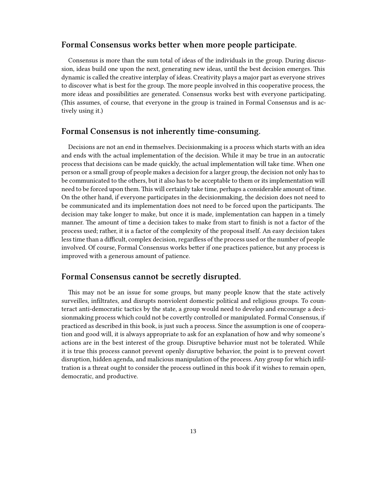# <span id="page-12-0"></span>**Formal Consensus works better when more people participate.**

Consensus is more than the sum total of ideas of the individuals in the group. During discussion, ideas build one upon the next, generating new ideas, until the best decision emerges. This dynamic is called the creative interplay of ideas. Creativity plays a major part as everyone strives to discover what is best for the group. The more people involved in this cooperative process, the more ideas and possibilities are generated. Consensus works best with everyone participating. (This assumes, of course, that everyone in the group is trained in Formal Consensus and is actively using it.)

#### <span id="page-12-1"></span>**Formal Consensus is not inherently time-consuming.**

Decisions are not an end in themselves. Decisionmaking is a process which starts with an idea and ends with the actual implementation of the decision. While it may be true in an autocratic process that decisions can be made quickly, the actual implementation will take time. When one person or a small group of people makes a decision for a larger group, the decision not only has to be communicated to the others, but it also has to be acceptable to them or its implementation will need to be forced upon them. This will certainly take time, perhaps a considerable amount of time. On the other hand, if everyone participates in the decisionmaking, the decision does not need to be communicated and its implementation does not need to be forced upon the participants. The decision may take longer to make, but once it is made, implementation can happen in a timely manner. The amount of time a decision takes to make from start to finish is not a factor of the process used; rather, it is a factor of the complexity of the proposal itself. An easy decision takes less time than a difficult, complex decision, regardless of the process used or the number of people involved. Of course, Formal Consensus works better if one practices patience, but any process is improved with a generous amount of patience.

#### <span id="page-12-2"></span>**Formal Consensus cannot be secretly disrupted.**

This may not be an issue for some groups, but many people know that the state actively surveilles, infiltrates, and disrupts nonviolent domestic political and religious groups. To counteract anti-democratic tactics by the state, a group would need to develop and encourage a decisionmaking process which could not be covertly controlled or manipulated. Formal Consensus, if practiced as described in this book, is just such a process. Since the assumption is one of cooperation and good will, it is always appropriate to ask for an explanation of how and why someone's actions are in the best interest of the group. Disruptive behavior must not be tolerated. While it is true this process cannot prevent openly disruptive behavior, the point is to prevent covert disruption, hidden agenda, and malicious manipulation of the process. Any group for which infiltration is a threat ought to consider the process outlined in this book if it wishes to remain open, democratic, and productive.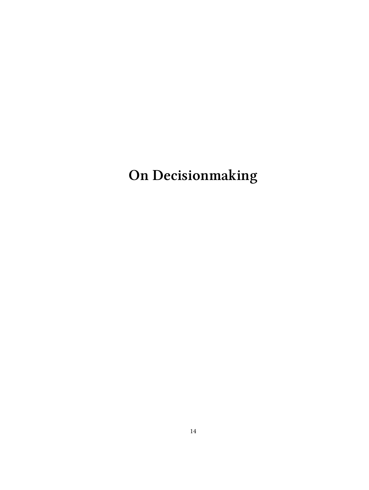<span id="page-13-0"></span>**On Decisionmaking**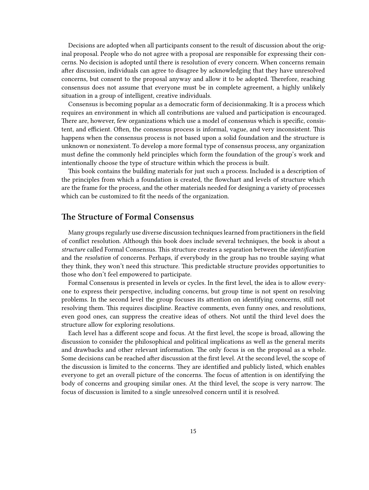Decisions are adopted when all participants consent to the result of discussion about the original proposal. People who do not agree with a proposal are responsible for expressing their concerns. No decision is adopted until there is resolution of every concern. When concerns remain after discussion, individuals can agree to disagree by acknowledging that they have unresolved concerns, but consent to the proposal anyway and allow it to be adopted. Therefore, reaching consensus does not assume that everyone must be in complete agreement, a highly unlikely situation in a group of intelligent, creative individuals.

Consensus is becoming popular as a democratic form of decisionmaking. It is a process which requires an environment in which all contributions are valued and participation is encouraged. There are, however, few organizations which use a model of consensus which is specific, consistent, and efficient. Often, the consensus process is informal, vague, and very inconsistent. This happens when the consensus process is not based upon a solid foundation and the structure is unknown or nonexistent. To develop a more formal type of consensus process, any organization must define the commonly held principles which form the foundation of the group's work and intentionally choose the type of structure within which the process is built.

This book contains the building materials for just such a process. Included is a description of the principles from which a foundation is created, the flowchart and levels of structure which are the frame for the process, and the other materials needed for designing a variety of processes which can be customized to fit the needs of the organization.

#### <span id="page-14-0"></span>**The Structure of Formal Consensus**

Many groups regularly use diverse discussion techniques learned from practitioners in the field of conflict resolution. Although this book does include several techniques, the book is about a *structure* called Formal Consensus. This structure creates a separation between the *identification* and the *resolution* of concerns. Perhaps, if everybody in the group has no trouble saying what they think, they won't need this structure. This predictable structure provides opportunities to those who don't feel empowered to participate.

Formal Consensus is presented in levels or cycles. In the first level, the idea is to allow everyone to express their perspective, including concerns, but group time is not spent on resolving problems. In the second level the group focuses its attention on identifying concerns, still not resolving them. This requires discipline. Reactive comments, even funny ones, and resolutions, even good ones, can suppress the creative ideas of others. Not until the third level does the structure allow for exploring resolutions.

Each level has a different scope and focus. At the first level, the scope is broad, allowing the discussion to consider the philosophical and political implications as well as the general merits and drawbacks and other relevant information. The only focus is on the proposal as a whole. Some decisions can be reached after discussion at the first level. At the second level, the scope of the discussion is limited to the concerns. They are identified and publicly listed, which enables everyone to get an overall picture of the concerns. The focus of attention is on identifying the body of concerns and grouping similar ones. At the third level, the scope is very narrow. The focus of discussion is limited to a single unresolved concern until it is resolved.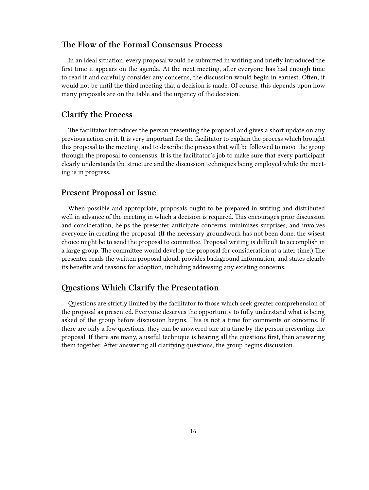#### <span id="page-15-0"></span>**The Flow of the Formal Consensus Process**

In an ideal situation, every proposal would be submitted in writing and briefly introduced the first time it appears on the agenda. At the next meeting, after everyone has had enough time to read it and carefully consider any concerns, the discussion would begin in earnest. Often, it would not be until the third meeting that a decision is made. Of course, this depends upon how many proposals are on the table and the urgency of the decision.

### <span id="page-15-1"></span>**Clarify the Process**

The facilitator introduces the person presenting the proposal and gives a short update on any previous action on it. It is very important for the facilitator to explain the process which brought this proposal to the meeting, and to describe the process that will be followed to move the group through the proposal to consensus. It is the facilitator's job to make sure that every participant clearly understands the structure and the discussion techniques being employed while the meeting is in progress.

# <span id="page-15-2"></span>**Present Proposal or Issue**

When possible and appropriate, proposals ought to be prepared in writing and distributed well in advance of the meeting in which a decision is required. This encourages prior discussion and consideration, helps the presenter anticipate concerns, minimizes surprises, and involves everyone in creating the proposal. (If the necessary groundwork has not been done, the wisest choice might be to send the proposal to committee. Proposal writing is difficult to accomplish in a large group. The committee would develop the proposal for consideration at a later time.) The presenter reads the written proposal aloud, provides background information, and states clearly its benefits and reasons for adoption, including addressing any existing concerns.

#### <span id="page-15-3"></span>**Questions Which Clarify the Presentation**

Questions are strictly limited by the facilitator to those which seek greater comprehension of the proposal as presented. Everyone deserves the opportunity to fully understand what is being asked of the group before discussion begins. This is not a time for comments or concerns. If there are only a few questions, they can be answered one at a time by the person presenting the proposal. If there are many, a useful technique is hearing all the questions first, then answering them together. After answering all clarifying questions, the group begins discussion.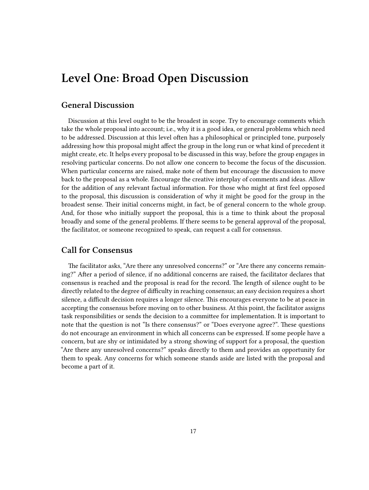# <span id="page-16-0"></span>**Level One: Broad Open Discussion**

### <span id="page-16-1"></span>**General Discussion**

Discussion at this level ought to be the broadest in scope. Try to encourage comments which take the whole proposal into account; i.e., why it is a good idea, or general problems which need to be addressed. Discussion at this level often has a philosophical or principled tone, purposely addressing how this proposal might affect the group in the long run or what kind of precedent it might create, etc. It helps every proposal to be discussed in this way, before the group engages in resolving particular concerns. Do not allow one concern to become the focus of the discussion. When particular concerns are raised, make note of them but encourage the discussion to move back to the proposal as a whole. Encourage the creative interplay of comments and ideas. Allow for the addition of any relevant factual information. For those who might at first feel opposed to the proposal, this discussion is consideration of why it might be good for the group in the broadest sense. Their initial concerns might, in fact, be of general concern to the whole group. And, for those who initially support the proposal, this is a time to think about the proposal broadly and some of the general problems. If there seems to be general approval of the proposal, the facilitator, or someone recognized to speak, can request a call for consensus.

#### <span id="page-16-2"></span>**Call for Consensus**

The facilitator asks, "Are there any unresolved concerns?" or "Are there any concerns remaining?" After a period of silence, if no additional concerns are raised, the facilitator declares that consensus is reached and the proposal is read for the record. The length of silence ought to be directly related to the degree of difficulty in reaching consensus; an easy decision requires a short silence, a difficult decision requires a longer silence. This encourages everyone to be at peace in accepting the consensus before moving on to other business. At this point, the facilitator assigns task responsibilities or sends the decision to a committee for implementation. It is important to note that the question is not "Is there consensus?" or "Does everyone agree?". These questions do not encourage an environment in which all concerns can be expressed. If some people have a concern, but are shy or intimidated by a strong showing of support for a proposal, the question "Are there any unresolved concerns?" speaks directly to them and provides an opportunity for them to speak. Any concerns for which someone stands aside are listed with the proposal and become a part of it.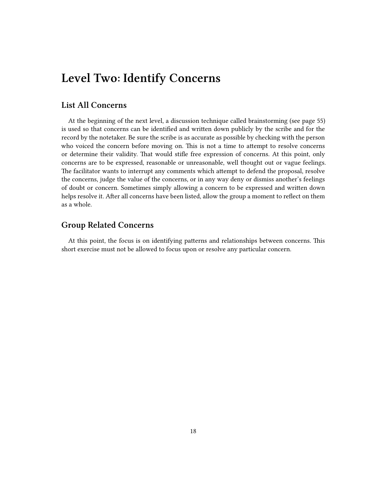# <span id="page-17-0"></span>**Level Two: Identify Concerns**

#### <span id="page-17-1"></span>**List All Concerns**

At the beginning of the next level, a discussion technique called brainstorming (see page 55) is used so that concerns can be identified and written down publicly by the scribe and for the record by the notetaker. Be sure the scribe is as accurate as possible by checking with the person who voiced the concern before moving on. This is not a time to attempt to resolve concerns or determine their validity. That would stifle free expression of concerns. At this point, only concerns are to be expressed, reasonable or unreasonable, well thought out or vague feelings. The facilitator wants to interrupt any comments which attempt to defend the proposal, resolve the concerns, judge the value of the concerns, or in any way deny or dismiss another's feelings of doubt or concern. Sometimes simply allowing a concern to be expressed and written down helps resolve it. After all concerns have been listed, allow the group a moment to reflect on them as a whole.

## <span id="page-17-2"></span>**Group Related Concerns**

At this point, the focus is on identifying patterns and relationships between concerns. This short exercise must not be allowed to focus upon or resolve any particular concern.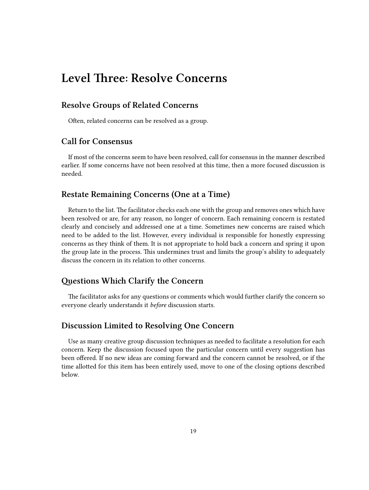# <span id="page-18-0"></span>**Level Three: Resolve Concerns**

## <span id="page-18-1"></span>**Resolve Groups of Related Concerns**

Often, related concerns can be resolved as a group.

## <span id="page-18-2"></span>**Call for Consensus**

If most of the concerns seem to have been resolved, call for consensus in the manner described earlier. If some concerns have not been resolved at this time, then a more focused discussion is needed.

#### <span id="page-18-3"></span>**Restate Remaining Concerns (One at a Time)**

Return to the list. The facilitator checks each one with the group and removes ones which have been resolved or are, for any reason, no longer of concern. Each remaining concern is restated clearly and concisely and addressed one at a time. Sometimes new concerns are raised which need to be added to the list. However, every individual is responsible for honestly expressing concerns as they think of them. It is not appropriate to hold back a concern and spring it upon the group late in the process. This undermines trust and limits the group's ability to adequately discuss the concern in its relation to other concerns.

#### <span id="page-18-4"></span>**Questions Which Clarify the Concern**

The facilitator asks for any questions or comments which would further clarify the concern so everyone clearly understands it *before* discussion starts.

#### <span id="page-18-5"></span>**Discussion Limited to Resolving One Concern**

Use as many creative group discussion techniques as needed to facilitate a resolution for each concern. Keep the discussion focused upon the particular concern until every suggestion has been offered. If no new ideas are coming forward and the concern cannot be resolved, or if the time allotted for this item has been entirely used, move to one of the closing options described below.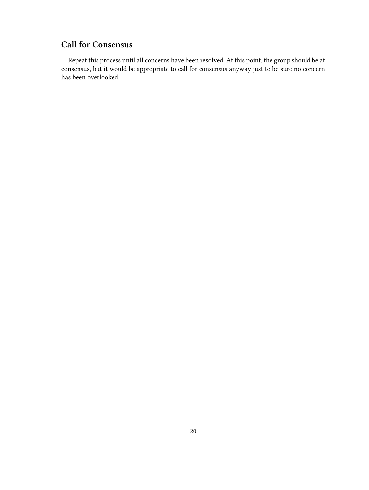# <span id="page-19-0"></span>**Call for Consensus**

Repeat this process until all concerns have been resolved. At this point, the group should be at consensus, but it would be appropriate to call for consensus anyway just to be sure no concern has been overlooked.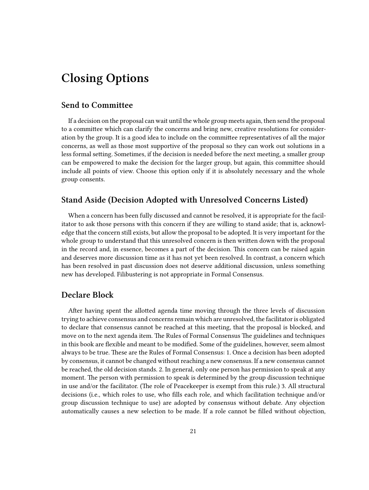# <span id="page-20-0"></span>**Closing Options**

## <span id="page-20-1"></span>**Send to Committee**

If a decision on the proposal can wait until the whole group meets again, then send the proposal to a committee which can clarify the concerns and bring new, creative resolutions for consideration by the group. It is a good idea to include on the committee representatives of all the major concerns, as well as those most supportive of the proposal so they can work out solutions in a less formal setting. Sometimes, if the decision is needed before the next meeting, a smaller group can be empowered to make the decision for the larger group, but again, this committee should include all points of view. Choose this option only if it is absolutely necessary and the whole group consents.

#### <span id="page-20-2"></span>**Stand Aside (Decision Adopted with Unresolved Concerns Listed)**

When a concern has been fully discussed and cannot be resolved, it is appropriate for the facilitator to ask those persons with this concern if they are willing to stand aside; that is, acknowledge that the concern still exists, but allow the proposal to be adopted. It is very important for the whole group to understand that this unresolved concern is then written down with the proposal in the record and, in essence, becomes a part of the decision. This concern can be raised again and deserves more discussion time as it has not yet been resolved. In contrast, a concern which has been resolved in past discussion does not deserve additional discussion, unless something new has developed. Filibustering is not appropriate in Formal Consensus.

#### <span id="page-20-3"></span>**Declare Block**

After having spent the allotted agenda time moving through the three levels of discussion trying to achieve consensus and concerns remain which are unresolved, the facilitator is obligated to declare that consensus cannot be reached at this meeting, that the proposal is blocked, and move on to the next agenda item. The Rules of Formal Consensus The guidelines and techniques in this book are flexible and meant to be modified. Some of the guidelines, however, seem almost always to be true. These are the Rules of Formal Consensus: 1. Once a decision has been adopted by consensus, it cannot be changed without reaching a new consensus. If a new consensus cannot be reached, the old decision stands. 2. In general, only one person has permission to speak at any moment. The person with permission to speak is determined by the group discussion technique in use and/or the facilitator. (The role of Peacekeeper is exempt from this rule.) 3. All structural decisions (i.e., which roles to use, who fills each role, and which facilitation technique and/or group discussion technique to use) are adopted by consensus without debate. Any objection automatically causes a new selection to be made. If a role cannot be filled without objection,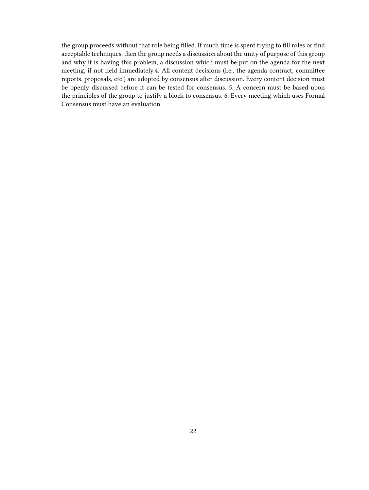the group proceeds without that role being filled. If much time is spent trying to fill roles or find acceptable techniques, then the group needs a discussion about the unity of purpose of this group and why it is having this problem, a discussion which must be put on the agenda for the next meeting, if not held immediately.4. All content decisions (i.e., the agenda contract, committee reports, proposals, etc.) are adopted by consensus after discussion. Every content decision must be openly discussed before it can be tested for consensus. 5. A concern must be based upon the principles of the group to justify a block to consensus. 6. Every meeting which uses Formal Consensus must have an evaluation.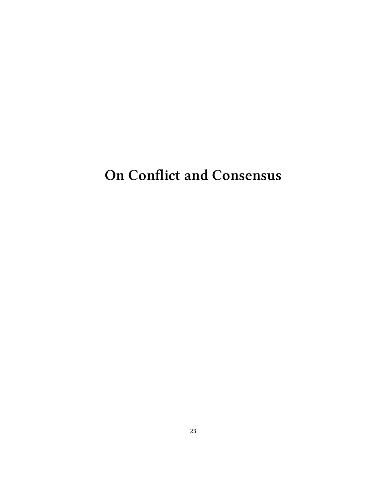# <span id="page-22-0"></span>**On Conflict and Consensus**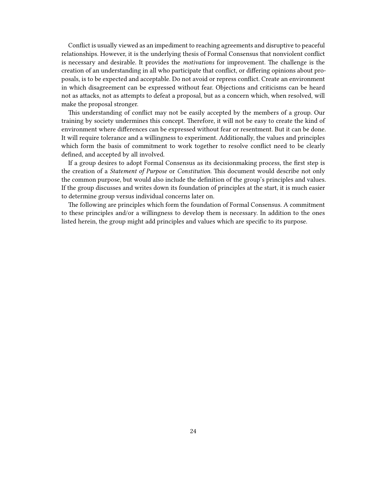Conflict is usually viewed as an impediment to reaching agreements and disruptive to peaceful relationships. However, it is the underlying thesis of Formal Consensus that nonviolent conflict is necessary and desirable. It provides the *motivations* for improvement. The challenge is the creation of an understanding in all who participate that conflict, or differing opinions about proposals, is to be expected and acceptable. Do not avoid or repress conflict. Create an environment in which disagreement can be expressed without fear. Objections and criticisms can be heard not as attacks, not as attempts to defeat a proposal, but as a concern which, when resolved, will make the proposal stronger.

This understanding of conflict may not be easily accepted by the members of a group. Our training by society undermines this concept. Therefore, it will not be easy to create the kind of environment where differences can be expressed without fear or resentment. But it can be done. It will require tolerance and a willingness to experiment. Additionally, the values and principles which form the basis of commitment to work together to resolve conflict need to be clearly defined, and accepted by all involved.

If a group desires to adopt Formal Consensus as its decisionmaking process, the first step is the creation of a *Statement of Purpose* or *Constitution*. This document would describe not only the common purpose, but would also include the definition of the group's principles and values. If the group discusses and writes down its foundation of principles at the start, it is much easier to determine group versus individual concerns later on.

The following are principles which form the foundation of Formal Consensus. A commitment to these principles and/or a willingness to develop them is necessary. In addition to the ones listed herein, the group might add principles and values which are specific to its purpose.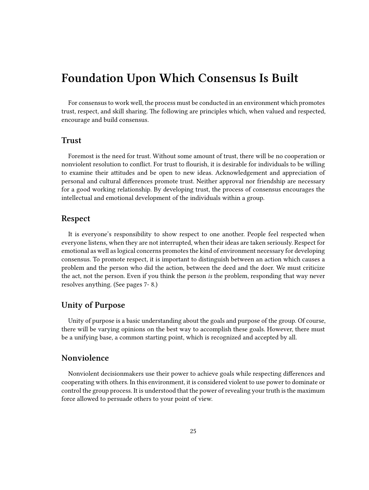# <span id="page-24-0"></span>**Foundation Upon Which Consensus Is Built**

For consensus to work well, the process must be conducted in an environment which promotes trust, respect, and skill sharing. The following are principles which, when valued and respected, encourage and build consensus.

#### <span id="page-24-1"></span>**Trust**

Foremost is the need for trust. Without some amount of trust, there will be no cooperation or nonviolent resolution to conflict. For trust to flourish, it is desirable for individuals to be willing to examine their attitudes and be open to new ideas. Acknowledgement and appreciation of personal and cultural differences promote trust. Neither approval nor friendship are necessary for a good working relationship. By developing trust, the process of consensus encourages the intellectual and emotional development of the individuals within a group.

#### <span id="page-24-2"></span>**Respect**

It is everyone's responsibility to show respect to one another. People feel respected when everyone listens, when they are not interrupted, when their ideas are taken seriously. Respect for emotional as well as logical concerns promotes the kind of environment necessary for developing consensus. To promote respect, it is important to distinguish between an action which causes a problem and the person who did the action, between the deed and the doer. We must criticize the act, not the person. Even if you think the person *is* the problem, responding that way never resolves anything. (See pages 7- 8.)

#### <span id="page-24-3"></span>**Unity of Purpose**

Unity of purpose is a basic understanding about the goals and purpose of the group. Of course, there will be varying opinions on the best way to accomplish these goals. However, there must be a unifying base, a common starting point, which is recognized and accepted by all.

## <span id="page-24-4"></span>**Nonviolence**

Nonviolent decisionmakers use their power to achieve goals while respecting differences and cooperating with others. In this environment, it is considered violent to use power to dominate or control the group process. It is understood that the power of revealing your truth is the maximum force allowed to persuade others to your point of view.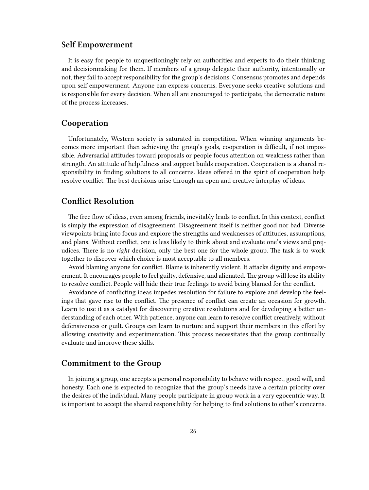#### <span id="page-25-0"></span>**Self Empowerment**

It is easy for people to unquestioningly rely on authorities and experts to do their thinking and decisionmaking for them. If members of a group delegate their authority, intentionally or not, they fail to accept responsibility for the group's decisions. Consensus promotes and depends upon self empowerment. Anyone can express concerns. Everyone seeks creative solutions and is responsible for every decision. When all are encouraged to participate, the democratic nature of the process increases.

#### <span id="page-25-1"></span>**Cooperation**

Unfortunately, Western society is saturated in competition. When winning arguments becomes more important than achieving the group's goals, cooperation is difficult, if not impossible. Adversarial attitudes toward proposals or people focus attention on weakness rather than strength. An attitude of helpfulness and support builds cooperation. Cooperation is a shared responsibility in finding solutions to all concerns. Ideas offered in the spirit of cooperation help resolve conflict. The best decisions arise through an open and creative interplay of ideas.

#### <span id="page-25-2"></span>**Conflict Resolution**

The free flow of ideas, even among friends, inevitably leads to conflict. In this context, conflict is simply the expression of disagreement. Disagreement itself is neither good nor bad. Diverse viewpoints bring into focus and explore the strengths and weaknesses of attitudes, assumptions, and plans. Without conflict, one is less likely to think about and evaluate one's views and prejudices. There is no *right* decision, only the best one for the whole group. The task is to work together to discover which choice is most acceptable to all members.

Avoid blaming anyone for conflict. Blame is inherently violent. It attacks dignity and empowerment. It encourages people to feel guilty, defensive, and alienated. The group will lose its ability to resolve conflict. People will hide their true feelings to avoid being blamed for the conflict.

Avoidance of conflicting ideas impedes resolution for failure to explore and develop the feelings that gave rise to the conflict. The presence of conflict can create an occasion for growth. Learn to use it as a catalyst for discovering creative resolutions and for developing a better understanding of each other. With patience, anyone can learn to resolve conflict creatively, without defensiveness or guilt. Groups can learn to nurture and support their members in this effort by allowing creativity and experimentation. This process necessitates that the group continually evaluate and improve these skills.

#### <span id="page-25-3"></span>**Commitment to the Group**

In joining a group, one accepts a personal responsibility to behave with respect, good will, and honesty. Each one is expected to recognize that the group's needs have a certain priority over the desires of the individual. Many people participate in group work in a very egocentric way. It is important to accept the shared responsibility for helping to find solutions to other's concerns.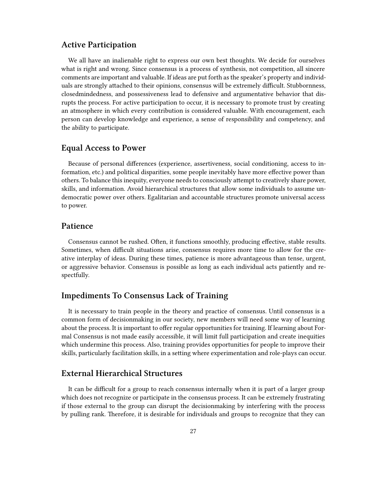#### <span id="page-26-0"></span>**Active Participation**

We all have an inalienable right to express our own best thoughts. We decide for ourselves what is right and wrong. Since consensus is a process of synthesis, not competition, all sincere comments are important and valuable. If ideas are put forth as the speaker's property and individuals are strongly attached to their opinions, consensus will be extremely difficult. Stubbornness, closedmindedness, and possessiveness lead to defensive and argumentative behavior that disrupts the process. For active participation to occur, it is necessary to promote trust by creating an atmosphere in which every contribution is considered valuable. With encouragement, each person can develop knowledge and experience, a sense of responsibility and competency, and the ability to participate.

#### <span id="page-26-1"></span>**Equal Access to Power**

Because of personal differences (experience, assertiveness, social conditioning, access to information, etc.) and political disparities, some people inevitably have more effective power than others. To balance this inequity, everyone needs to consciously attempt to creatively share power, skills, and information. Avoid hierarchical structures that allow some individuals to assume undemocratic power over others. Egalitarian and accountable structures promote universal access to power.

#### <span id="page-26-2"></span>**Patience**

Consensus cannot be rushed. Often, it functions smoothly, producing effective, stable results. Sometimes, when difficult situations arise, consensus requires more time to allow for the creative interplay of ideas. During these times, patience is more advantageous than tense, urgent, or aggressive behavior. Consensus is possible as long as each individual acts patiently and respectfully.

#### <span id="page-26-3"></span>**Impediments To Consensus Lack of Training**

It is necessary to train people in the theory and practice of consensus. Until consensus is a common form of decisionmaking in our society, new members will need some way of learning about the process. It is important to offer regular opportunities for training. If learning about Formal Consensus is not made easily accessible, it will limit full participation and create inequities which undermine this process. Also, training provides opportunities for people to improve their skills, particularly facilitation skills, in a setting where experimentation and role-plays can occur.

#### <span id="page-26-4"></span>**External Hierarchical Structures**

It can be difficult for a group to reach consensus internally when it is part of a larger group which does not recognize or participate in the consensus process. It can be extremely frustrating if those external to the group can disrupt the decisionmaking by interfering with the process by pulling rank. Therefore, it is desirable for individuals and groups to recognize that they can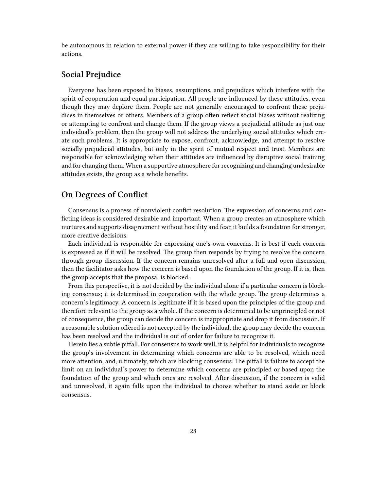be autonomous in relation to external power if they are willing to take responsibility for their actions.

#### <span id="page-27-0"></span>**Social Prejudice**

Everyone has been exposed to biases, assumptions, and prejudices which interfere with the spirit of cooperation and equal participation. All people are influenced by these attitudes, even though they may deplore them. People are not generally encouraged to confront these prejudices in themselves or others. Members of a group often reflect social biases without realizing or attempting to confront and change them. If the group views a prejudicial attitude as just one individual's problem, then the group will not address the underlying social attitudes which create such problems. It is appropriate to expose, confront, acknowledge, and attempt to resolve socially prejudicial attitudes, but only in the spirit of mutual respect and trust. Members are responsible for acknowledging when their attitudes are influenced by disruptive social training and for changing them. When a supportive atmosphere for recognizing and changing undesirable attitudes exists, the group as a whole benefits.

#### <span id="page-27-1"></span>**On Degrees of Conflict**

Consensus is a process of nonviolent confict resolution. The expression of concerns and conficting ideas is considered desirable and important. When a group creates an atmosphere which nurtures and supports disagreement without hostility and fear, it builds a foundation for stronger, more creative decisions.

Each individual is responsible for expressing one's own concerns. It is best if each concern is expressed as if it will be resolved. The group then responds by trying to resolve the concern through group discussion. If the concern remains unresolved after a full and open discussion, then the facilitator asks how the concern is based upon the foundation of the group. If it is, then the group accepts that the proposal is blocked.

From this perspective, it is not decided by the individual alone if a particular concern is blocking consensus; it is determined in cooperation with the whole group. The group determines a concern's legitimacy. A concern is legitimate if it is based upon the principles of the group and therefore relevant to the group as a whole. If the concern is determined to be unprincipled or not of consequence, the group can decide the concern is inappropriate and drop it from discussion. If a reasonable solution offered is not accepted by the individual, the group may decide the concern has been resolved and the individual is out of order for failure to recognize it.

Herein lies a subtle pitfall. For consensus to work well, it is helpful for individuals to recognize the group's involvement in determining which concerns are able to be resolved, which need more attention, and, ultimately, which are blocking consensus. The pitfall is failure to accept the limit on an individual's power to determine which concerns are principled or based upon the foundation of the group and which ones are resolved. After discussion, if the concern is valid and unresolved, it again falls upon the individual to choose whether to stand aside or block consensus.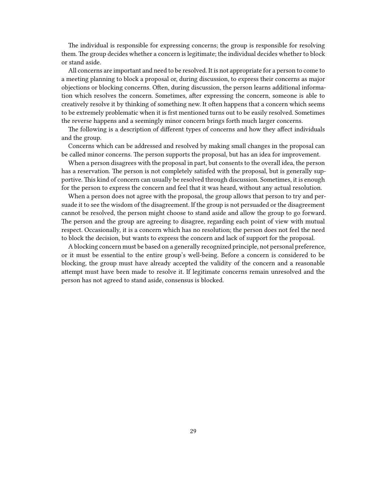The individual is responsible for expressing concerns; the group is responsible for resolving them. The group decides whether a concern is legitimate; the individual decides whether to block or stand aside.

All concerns are important and need to be resolved. It is not appropriate for a person to come to a meeting planning to block a proposal or, during discussion, to express their concerns as major objections or blocking concerns. Often, during discussion, the person learns additional information which resolves the concern. Sometimes, after expressing the concern, someone is able to creatively resolve it by thinking of something new. It often happens that a concern which seems to be extremely problematic when it is frst mentioned turns out to be easily resolved. Sometimes the reverse happens and a seemingly minor concern brings forth much larger concerns.

The following is a description of different types of concerns and how they affect individuals and the group.

Concerns which can be addressed and resolved by making small changes in the proposal can be called minor concerns. The person supports the proposal, but has an idea for improvement.

When a person disagrees with the proposal in part, but consents to the overall idea, the person has a reservation. The person is not completely satisfed with the proposal, but is generally supportive. This kind of concern can usually be resolved through discussion. Sometimes, it is enough for the person to express the concern and feel that it was heard, without any actual resolution.

When a person does not agree with the proposal, the group allows that person to try and persuade it to see the wisdom of the disagreement. If the group is not persuaded or the disagreement cannot be resolved, the person might choose to stand aside and allow the group to go forward. The person and the group are agreeing to disagree, regarding each point of view with mutual respect. Occasionally, it is a concern which has no resolution; the person does not feel the need to block the decision, but wants to express the concern and lack of support for the proposal.

A blocking concern must be based on a generally recognized principle, not personal preference, or it must be essential to the entire group's well-being. Before a concern is considered to be blocking, the group must have already accepted the validity of the concern and a reasonable attempt must have been made to resolve it. If legitimate concerns remain unresolved and the person has not agreed to stand aside, consensus is blocked.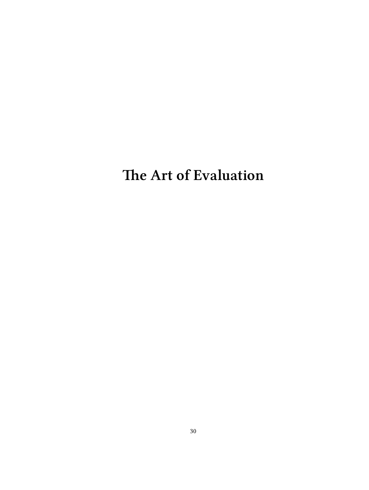<span id="page-29-0"></span>**The Art of Evaluation**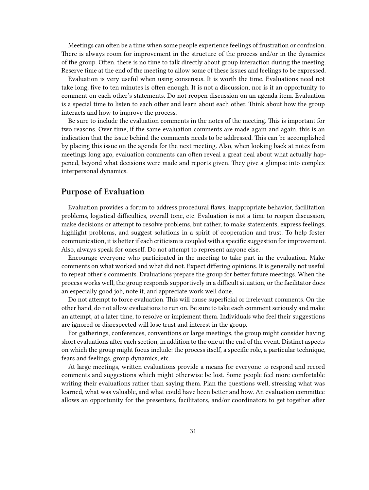Meetings can often be a time when some people experience feelings of frustration or confusion. There is always room for improvement in the structure of the process and/or in the dynamics of the group. Often, there is no time to talk directly about group interaction during the meeting. Reserve time at the end of the meeting to allow some of these issues and feelings to be expressed.

Evaluation is very useful when using consensus. It is worth the time. Evaluations need not take long, five to ten minutes is often enough. It is not a discussion, nor is it an opportunity to comment on each other's statements. Do not reopen discussion on an agenda item. Evaluation is a special time to listen to each other and learn about each other. Think about how the group interacts and how to improve the process.

Be sure to include the evaluation comments in the notes of the meeting. This is important for two reasons. Over time, if the same evaluation comments are made again and again, this is an indication that the issue behind the comments needs to be addressed. This can be accomplished by placing this issue on the agenda for the next meeting. Also, when looking back at notes from meetings long ago, evaluation comments can often reveal a great deal about what actually happened, beyond what decisions were made and reports given. They give a glimpse into complex interpersonal dynamics.

#### <span id="page-30-0"></span>**Purpose of Evaluation**

Evaluation provides a forum to address procedural flaws, inappropriate behavior, facilitation problems, logistical difficulties, overall tone, etc. Evaluation is not a time to reopen discussion, make decisions or attempt to resolve problems, but rather, to make statements, express feelings, highlight problems, and suggest solutions in a spirit of cooperation and trust. To help foster communication, it is better if each criticism is coupled with a specific suggestion for improvement. Also, always speak for oneself. Do not attempt to represent anyone else.

Encourage everyone who participated in the meeting to take part in the evaluation. Make comments on what worked and what did not. Expect differing opinions. It is generally not useful to repeat other's comments. Evaluations prepare the group for better future meetings. When the process works well, the group responds supportively in a difficult situation, or the facilitator does an especially good job, note it, and appreciate work well done.

Do not attempt to force evaluation. This will cause superficial or irrelevant comments. On the other hand, do not allow evaluations to run on. Be sure to take each comment seriously and make an attempt, at a later time, to resolve or implement them. Individuals who feel their suggestions are ignored or disrespected will lose trust and interest in the group.

For gatherings, conferences, conventions or large meetings, the group might consider having short evaluations after each section, in addition to the one at the end of the event. Distinct aspects on which the group might focus include: the process itself, a specific role, a particular technique, fears and feelings, group dynamics, etc.

At large meetings, written evaluations provide a means for everyone to respond and record comments and suggestions which might otherwise be lost. Some people feel more comfortable writing their evaluations rather than saying them. Plan the questions well, stressing what was learned, what was valuable, and what could have been better and how. An evaluation committee allows an opportunity for the presenters, facilitators, and/or coordinators to get together after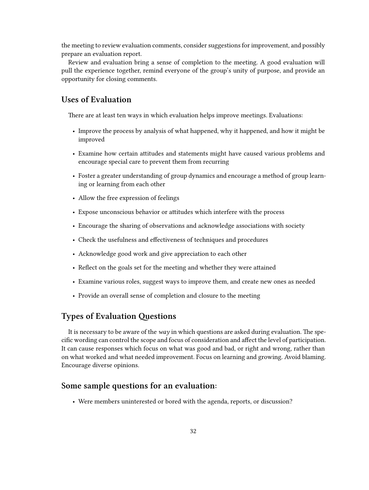the meeting to review evaluation comments, consider suggestions for improvement, and possibly prepare an evaluation report.

Review and evaluation bring a sense of completion to the meeting. A good evaluation will pull the experience together, remind everyone of the group's unity of purpose, and provide an opportunity for closing comments.

## <span id="page-31-0"></span>**Uses of Evaluation**

There are at least ten ways in which evaluation helps improve meetings. Evaluations:

- Improve the process by analysis of what happened, why it happened, and how it might be improved
- Examine how certain attitudes and statements might have caused various problems and encourage special care to prevent them from recurring
- Foster a greater understanding of group dynamics and encourage a method of group learning or learning from each other
- Allow the free expression of feelings
- Expose unconscious behavior or attitudes which interfere with the process
- Encourage the sharing of observations and acknowledge associations with society
- Check the usefulness and effectiveness of techniques and procedures
- Acknowledge good work and give appreciation to each other
- Reflect on the goals set for the meeting and whether they were attained
- Examine various roles, suggest ways to improve them, and create new ones as needed
- Provide an overall sense of completion and closure to the meeting

### <span id="page-31-1"></span>**Types of Evaluation Questions**

It is necessary to be aware of the *way* in which questions are asked during evaluation. The specific wording can control the scope and focus of consideration and affect the level of participation. It can cause responses which focus on what was good and bad, or right and wrong, rather than on what worked and what needed improvement. Focus on learning and growing. Avoid blaming. Encourage diverse opinions.

#### <span id="page-31-2"></span>**Some sample questions for an evaluation:**

• Were members uninterested or bored with the agenda, reports, or discussion?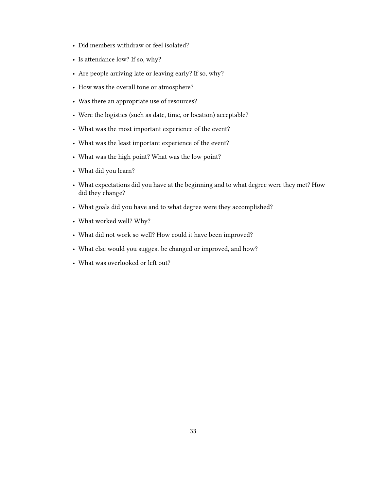- Did members withdraw or feel isolated?
- Is attendance low? If so, why?
- Are people arriving late or leaving early? If so, why?
- How was the overall tone or atmosphere?
- Was there an appropriate use of resources?
- Were the logistics (such as date, time, or location) acceptable?
- What was the most important experience of the event?
- What was the least important experience of the event?
- What was the high point? What was the low point?
- What did you learn?
- What expectations did you have at the beginning and to what degree were they met? How did they change?
- What goals did you have and to what degree were they accomplished?
- What worked well? Why?
- What did not work so well? How could it have been improved?
- What else would you suggest be changed or improved, and how?
- What was overlooked or left out?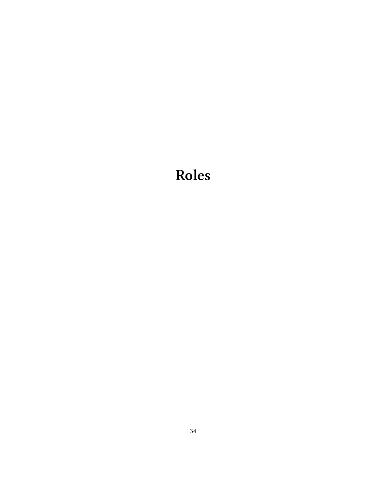# <span id="page-33-0"></span>**Roles**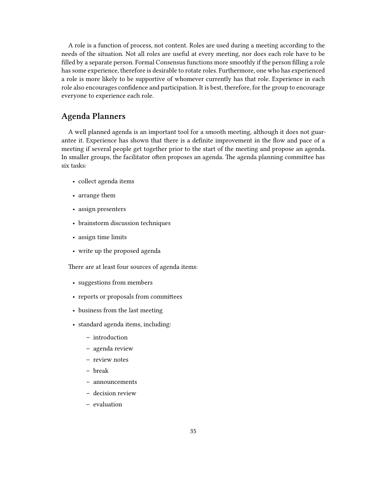A role is a function of process, not content. Roles are used during a meeting according to the needs of the situation. Not all roles are useful at every meeting, nor does each role have to be filled by a separate person. Formal Consensus functions more smoothly if the person filling a role has some experience, therefore is desirable to rotate roles. Furthermore, one who has experienced a role is more likely to be supportive of whomever currently has that role. Experience in each role also encourages confidence and participation. It is best, therefore, for the group to encourage everyone to experience each role.

#### <span id="page-34-0"></span>**Agenda Planners**

A well planned agenda is an important tool for a smooth meeting, although it does not guarantee it. Experience has shown that there is a definite improvement in the flow and pace of a meeting if several people get together prior to the start of the meeting and propose an agenda. In smaller groups, the facilitator often proposes an agenda. The agenda planning committee has six tasks:

- collect agenda items
- arrange them
- assign presenters
- brainstorm discussion techniques
- assign time limits
- write up the proposed agenda

There are at least four sources of agenda items:

- suggestions from members
- reports or proposals from committees
- business from the last meeting
- standard agenda items, including:
	- **–** introduction
	- **–** agenda review
	- **–** review notes
	- **–** break
	- **–** announcements
	- **–** decision review
	- **–** evaluation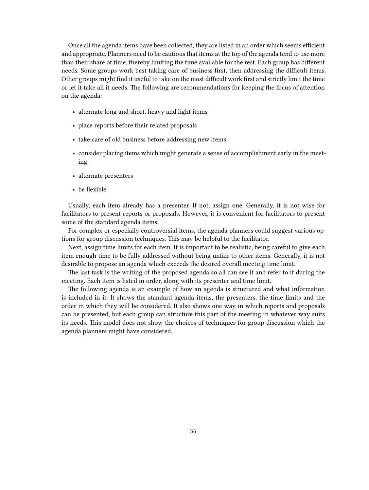Once all the agenda items have been collected, they are listed in an order which seems efficient and appropriate. Planners need to be cautious that items at the top of the agenda tend to use more than their share of time, thereby limiting the time available for the rest. Each group has different needs. Some groups work best taking care of business first, then addressing the difficult items. Other groups might find it useful to take on the most difficult work first and strictly limit the time or let it take all it needs. The following are recommendations for keeping the focus of attention on the agenda:

- alternate long and short, heavy and light items
- place reports before their related proposals
- take care of old business before addressing new items
- consider placing items which might generate a sense of accomplishment early in the meeting
- alternate presenters
- be flexible

Usually, each item already has a presenter. If not, assign one. Generally, it is not wise for facilitators to present reports or proposals. However, it is convenient for facilitators to present some of the standard agenda items.

For complex or especially controversial items, the agenda planners could suggest various options for group discussion techniques. This may be helpful to the facilitator.

Next, assign time limits for each item. It is important to be realistic, being careful to give each item enough time to be fully addressed without being unfair to other items. Generally, it is not desirable to propose an agenda which exceeds the desired overall meeting time limit.

The last task is the writing of the proposed agenda so all can see it and refer to it during the meeting. Each item is listed in order, along with its presenter and time limit.

The following agenda is an example of how an agenda is structured and what information is included in it. It shows the standard agenda items, the presenters, the time limits and the order in which they will be considered. It also shows one way in which reports and proposals can be presented, but each group can structure this part of the meeting in whatever way suits its needs. This model does not show the choices of techniques for group discussion which the agenda planners might have considered.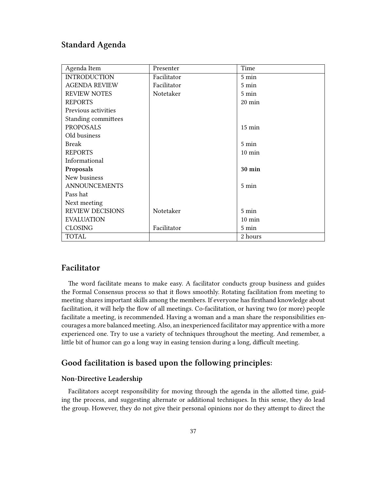# <span id="page-36-0"></span>**Standard Agenda**

| Agenda Item             | Presenter   | Time             |
|-------------------------|-------------|------------------|
| <b>INTRODUCTION</b>     | Facilitator | $5 \text{ min}$  |
| <b>AGENDA REVIEW</b>    | Facilitator | 5 min            |
| <b>REVIEW NOTES</b>     | Notetaker   | $5 \text{ min}$  |
| <b>REPORTS</b>          |             | 20 min           |
| Previous activities     |             |                  |
| Standing committees     |             |                  |
| <b>PROPOSALS</b>        |             | $15 \text{ min}$ |
| Old business            |             |                  |
| <b>Break</b>            |             | $5 \text{ min}$  |
| <b>REPORTS</b>          |             | $10 \text{ min}$ |
| Informational           |             |                  |
| Proposals               |             | 30 min           |
| New business            |             |                  |
| <b>ANNOUNCEMENTS</b>    |             | $5 \text{ min}$  |
| Pass hat                |             |                  |
| Next meeting            |             |                  |
| <b>REVIEW DECISIONS</b> | Notetaker   | $5 \text{ min}$  |
| <b>EVALUATION</b>       |             | $10 \text{ min}$ |
| <b>CLOSING</b>          | Facilitator | 5 min            |
| <b>TOTAL</b>            |             | 2 hours          |

### <span id="page-36-1"></span>**Facilitator**

The word facilitate means to make easy. A facilitator conducts group business and guides the Formal Consensus process so that it flows smoothly. Rotating facilitation from meeting to meeting shares important skills among the members. If everyone has firsthand knowledge about facilitation, it will help the flow of all meetings. Co-facilitation, or having two (or more) people facilitate a meeting, is recommended. Having a woman and a man share the responsibilities encourages a more balanced meeting. Also, an inexperienced facilitator may apprentice with a more experienced one. Try to use a variety of techniques throughout the meeting. And remember, a little bit of humor can go a long way in easing tension during a long, difficult meeting.

## <span id="page-36-2"></span>**Good facilitation is based upon the following principles:**

#### <span id="page-36-3"></span>**Non-Directive Leadership**

Facilitators accept responsibility for moving through the agenda in the allotted time, guiding the process, and suggesting alternate or additional techniques. In this sense, they do lead the group. However, they do not give their personal opinions nor do they attempt to direct the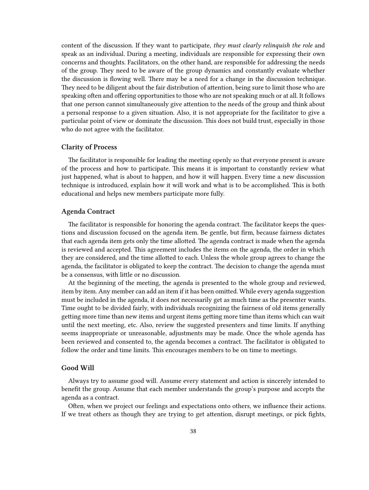content of the discussion. If they want to participate, *they must clearly relinquish the role* and speak as an individual. During a meeting, individuals are responsible for expressing their own concerns and thoughts. Facilitators, on the other hand, are responsible for addressing the needs of the group. They need to be aware of the group dynamics and constantly evaluate whether the discussion is flowing well. There may be a need for a change in the discussion technique. They need to be diligent about the fair distribution of attention, being sure to limit those who are speaking often and offering opportunities to those who are not speaking much or at all. It follows that one person cannot simultaneously give attention to the needs of the group and think about a personal response to a given situation. Also, it is not appropriate for the facilitator to give a particular point of view or dominate the discussion. This does not build trust, especially in those who do not agree with the facilitator.

#### <span id="page-37-0"></span>**Clarity of Process**

The facilitator is responsible for leading the meeting openly so that everyone present is aware of the process and how to participate. This means it is important to constantly review what just happened, what is about to happen, and how it will happen. Every time a new discussion technique is introduced, explain how it will work and what is to be accomplished. This is both educational and helps new members participate more fully.

#### <span id="page-37-1"></span>**Agenda Contract**

The facilitator is responsible for honoring the agenda contract. The facilitator keeps the questions and discussion focused on the agenda item. Be gentle, but firm, because fairness dictates that each agenda item gets only the time allotted. The agenda contract is made when the agenda is reviewed and accepted. This agreement includes the items on the agenda, the order in which they are considered, and the time allotted to each. Unless the whole group agrees to change the agenda, the facilitator is obligated to keep the contract. The decision to change the agenda must be a consensus, with little or no discussion.

At the beginning of the meeting, the agenda is presented to the whole group and reviewed, item by item. Any member can add an item if it has been omitted. While every agenda suggestion must be included in the agenda, it does not necessarily get as much time as the presenter wants. Time ought to be divided fairly, with individuals recognizing the fairness of old items generally getting more time than new items and urgent items getting more time than items which can wait until the next meeting, etc. Also, review the suggested presenters and time limits. If anything seems inappropriate or unreasonable, adjustments may be made. Once the whole agenda has been reviewed and consented to, the agenda becomes a contract. The facilitator is obligated to follow the order and time limits. This encourages members to be on time to meetings.

#### <span id="page-37-2"></span>**Good Will**

Always try to assume good will. Assume every statement and action is sincerely intended to benefit the group. Assume that each member understands the group's purpose and accepts the agenda as a contract.

Often, when we project our feelings and expectations onto others, we influence their actions. If we treat others as though they are trying to get attention, disrupt meetings, or pick fights,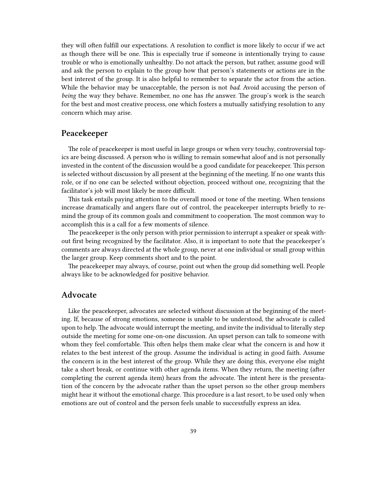they will often fulfill our expectations. A resolution to conflict is more likely to occur if we act as though there will be one. This is especially true if someone is intentionally trying to cause trouble or who is emotionally unhealthy. Do not attack the person, but rather, assume good will and ask the person to explain to the group how that person's statements or actions are in the best interest of the group. It is also helpful to remember to separate the actor from the action. While the behavior may be unacceptable, the person is not *bad*. Avoid accusing the person of *being* the way they behave. Remember, no one has *the* answer. The group's work is the search for the best and most creative process, one which fosters a mutually satisfying resolution to any concern which may arise.

#### <span id="page-38-0"></span>**Peacekeeper**

The role of peacekeeper is most useful in large groups or when very touchy, controversial topics are being discussed. A person who is willing to remain somewhat aloof and is not personally invested in the content of the discussion would be a good candidate for peacekeeper. This person is selected without discussion by all present at the beginning of the meeting. If no one wants this role, or if no one can be selected without objection, proceed without one, recognizing that the facilitator's job will most likely be more difficult.

This task entails paying attention to the overall mood or tone of the meeting. When tensions increase dramatically and angers flare out of control, the peacekeeper interrupts briefly to remind the group of its common goals and commitment to cooperation. The most common way to accomplish this is a call for a few moments of silence.

The peacekeeper is the only person with prior permission to interrupt a speaker or speak without first being recognized by the facilitator. Also, it is important to note that the peacekeeper's comments are always directed at the whole group, never at one individual or small group within the larger group. Keep comments short and to the point.

The peacekeeper may always, of course, point out when the group did something well. People always like to be acknowledged for positive behavior.

#### <span id="page-38-1"></span>**Advocate**

Like the peacekeeper, advocates are selected without discussion at the beginning of the meeting. If, because of strong emotions, someone is unable to be understood, the advocate is called upon to help. The advocate would interrupt the meeting, and invite the individual to literally step outside the meeting for some one-on-one discussion. An upset person can talk to someone with whom they feel comfortable. This often helps them make clear what the concern is and how it relates to the best interest of the group. Assume the individual is acting in good faith. Assume the concern is in the best interest of the group. While they are doing this, everyone else might take a short break, or continue with other agenda items. When they return, the meeting (after completing the current agenda item) hears from the advocate. The intent here is the presentation of the concern by the advocate rather than the upset person so the other group members might hear it without the emotional charge. This procedure is a last resort, to be used only when emotions are out of control and the person feels unable to successfully express an idea.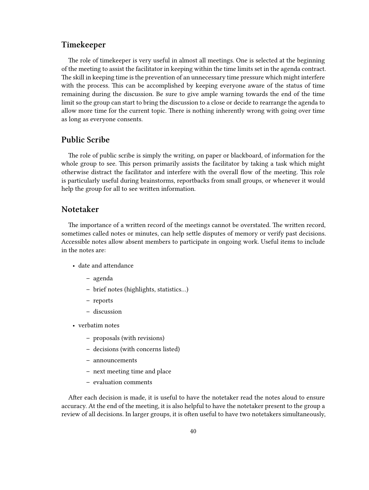#### <span id="page-39-0"></span>**Timekeeper**

The role of timekeeper is very useful in almost all meetings. One is selected at the beginning of the meeting to assist the facilitator in keeping within the time limits set in the agenda contract. The skill in keeping time is the prevention of an unnecessary time pressure which might interfere with the process. This can be accomplished by keeping everyone aware of the status of time remaining during the discussion. Be sure to give ample warning towards the end of the time limit so the group can start to bring the discussion to a close or decide to rearrange the agenda to allow more time for the current topic. There is nothing inherently wrong with going over time as long as everyone consents.

### <span id="page-39-1"></span>**Public Scribe**

The role of public scribe is simply the writing, on paper or blackboard, of information for the whole group to see. This person primarily assists the facilitator by taking a task which might otherwise distract the facilitator and interfere with the overall flow of the meeting. This role is particularly useful during brainstorms, reportbacks from small groups, or whenever it would help the group for all to see written information.

#### <span id="page-39-2"></span>**Notetaker**

The importance of a written record of the meetings cannot be overstated. The written record, sometimes called notes or minutes, can help settle disputes of memory or verify past decisions. Accessible notes allow absent members to participate in ongoing work. Useful items to include in the notes are:

- date and attendance
	- **–** agenda
	- **–** brief notes (highlights, statistics…)
	- **–** reports
	- **–** discussion
- verbatim notes
	- **–** proposals (with revisions)
	- **–** decisions (with concerns listed)
	- **–** announcements
	- **–** next meeting time and place
	- **–** evaluation comments

After each decision is made, it is useful to have the notetaker read the notes aloud to ensure accuracy. At the end of the meeting, it is also helpful to have the notetaker present to the group a review of all decisions. In larger groups, it is often useful to have two notetakers simultaneously,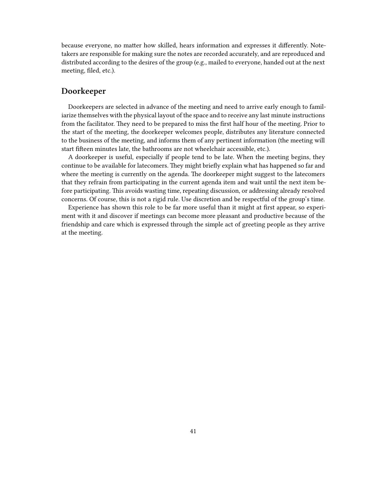because everyone, no matter how skilled, hears information and expresses it differently. Notetakers are responsible for making sure the notes are recorded accurately, and are reproduced and distributed according to the desires of the group (e.g., mailed to everyone, handed out at the next meeting, filed, etc.).

#### <span id="page-40-0"></span>**Doorkeeper**

Doorkeepers are selected in advance of the meeting and need to arrive early enough to familiarize themselves with the physical layout of the space and to receive any last minute instructions from the facilitator. They need to be prepared to miss the first half hour of the meeting. Prior to the start of the meeting, the doorkeeper welcomes people, distributes any literature connected to the business of the meeting, and informs them of any pertinent information (the meeting will start fifteen minutes late, the bathrooms are not wheelchair accessible, etc.).

A doorkeeper is useful, especially if people tend to be late. When the meeting begins, they continue to be available for latecomers. They might briefly explain what has happened so far and where the meeting is currently on the agenda. The doorkeeper might suggest to the latecomers that they refrain from participating in the current agenda item and wait until the next item before participating. This avoids wasting time, repeating discussion, or addressing already resolved concerns. Of course, this is not a rigid rule. Use discretion and be respectful of the group's time.

Experience has shown this role to be far more useful than it might at first appear, so experiment with it and discover if meetings can become more pleasant and productive because of the friendship and care which is expressed through the simple act of greeting people as they arrive at the meeting.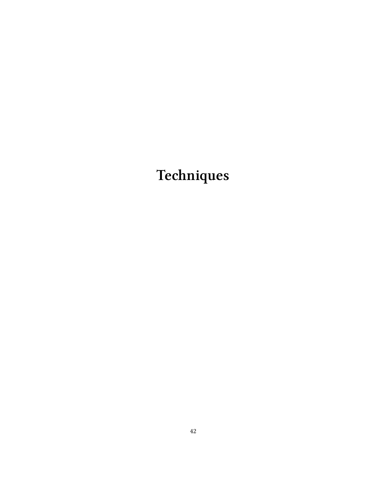# <span id="page-41-0"></span>**Techniques**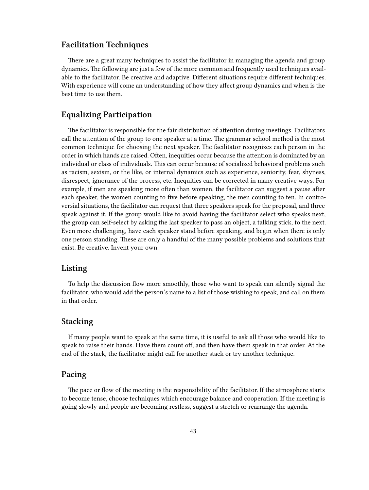#### <span id="page-42-0"></span>**Facilitation Techniques**

There are a great many techniques to assist the facilitator in managing the agenda and group dynamics. The following are just a few of the more common and frequently used techniques available to the facilitator. Be creative and adaptive. Different situations require different techniques. With experience will come an understanding of how they affect group dynamics and when is the best time to use them.

#### <span id="page-42-1"></span>**Equalizing Participation**

The facilitator is responsible for the fair distribution of attention during meetings. Facilitators call the attention of the group to one speaker at a time. The grammar school method is the most common technique for choosing the next speaker. The facilitator recognizes each person in the order in which hands are raised. Often, inequities occur because the attention is dominated by an individual or class of individuals. This can occur because of socialized behavioral problems such as racism, sexism, or the like, or internal dynamics such as experience, seniority, fear, shyness, disrespect, ignorance of the process, etc. Inequities can be corrected in many creative ways. For example, if men are speaking more often than women, the facilitator can suggest a pause after each speaker, the women counting to five before speaking, the men counting to ten. In controversial situations, the facilitator can request that three speakers speak for the proposal, and three speak against it. If the group would like to avoid having the facilitator select who speaks next, the group can self-select by asking the last speaker to pass an object, a talking stick, to the next. Even more challenging, have each speaker stand before speaking, and begin when there is only one person standing. These are only a handful of the many possible problems and solutions that exist. Be creative. Invent your own.

#### <span id="page-42-2"></span>**Listing**

To help the discussion flow more smoothly, those who want to speak can silently signal the facilitator, who would add the person's name to a list of those wishing to speak, and call on them in that order.

## <span id="page-42-3"></span>**Stacking**

If many people want to speak at the same time, it is useful to ask all those who would like to speak to raise their hands. Have them count off, and then have them speak in that order. At the end of the stack, the facilitator might call for another stack or try another technique.

#### <span id="page-42-4"></span>**Pacing**

The pace or flow of the meeting is the responsibility of the facilitator. If the atmosphere starts to become tense, choose techniques which encourage balance and cooperation. If the meeting is going slowly and people are becoming restless, suggest a stretch or rearrange the agenda.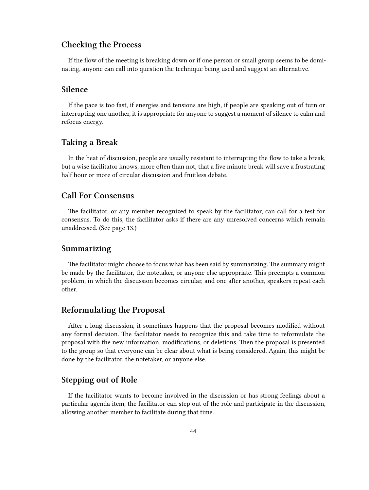#### <span id="page-43-0"></span>**Checking the Process**

If the flow of the meeting is breaking down or if one person or small group seems to be dominating, anyone can call into question the technique being used and suggest an alternative.

#### <span id="page-43-1"></span>**Silence**

If the pace is too fast, if energies and tensions are high, if people are speaking out of turn or interrupting one another, it is appropriate for anyone to suggest a moment of silence to calm and refocus energy.

#### <span id="page-43-2"></span>**Taking a Break**

In the heat of discussion, people are usually resistant to interrupting the flow to take a break, but a wise facilitator knows, more often than not, that a five minute break will save a frustrating half hour or more of circular discussion and fruitless debate.

#### <span id="page-43-3"></span>**Call For Consensus**

The facilitator, or any member recognized to speak by the facilitator, can call for a test for consensus. To do this, the facilitator asks if there are any unresolved concerns which remain unaddressed. (See page 13.)

#### <span id="page-43-4"></span>**Summarizing**

The facilitator might choose to focus what has been said by summarizing. The summary might be made by the facilitator, the notetaker, or anyone else appropriate. This preempts a common problem, in which the discussion becomes circular, and one after another, speakers repeat each other.

#### <span id="page-43-5"></span>**Reformulating the Proposal**

After a long discussion, it sometimes happens that the proposal becomes modified without any formal decision. The facilitator needs to recognize this and take time to reformulate the proposal with the new information, modifications, or deletions. Then the proposal is presented to the group so that everyone can be clear about what is being considered. Again, this might be done by the facilitator, the notetaker, or anyone else.

#### <span id="page-43-6"></span>**Stepping out of Role**

If the facilitator wants to become involved in the discussion or has strong feelings about a particular agenda item, the facilitator can step out of the role and participate in the discussion, allowing another member to facilitate during that time.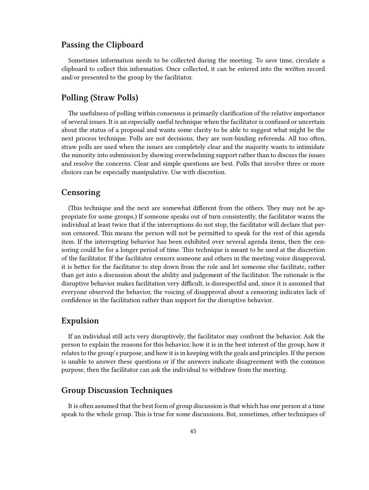#### <span id="page-44-0"></span>**Passing the Clipboard**

Sometimes information needs to be collected during the meeting. To save time, circulate a clipboard to collect this information. Once collected, it can be entered into the written record and/or presented to the group by the facilitator.

#### <span id="page-44-1"></span>**Polling (Straw Polls)**

The usefulness of polling within consensus is primarily clarification of the relative importance of several issues. It is an especially useful technique when the facilitator is confused or uncertain about the status of a proposal and wants some clarity to be able to suggest what might be the next process technique. Polls are not decisions, they are non-binding referenda. All too often, straw polls are used when the issues are completely clear and the majority wants to intimidate the minority into submission by showing overwhelming support rather than to discuss the issues and resolve the concerns. Clear and simple questions are best. Polls that involve three or more choices can be especially manipulative. Use with discretion.

#### <span id="page-44-2"></span>**Censoring**

(This technique and the next are somewhat different from the others. They may not be appropriate for some groups.) If someone speaks out of turn consistently, the facilitator warns the individual at least twice that if the interruptions do not stop, the facilitator will declare that person censored. This means the person will not be permitted to speak for the rest of this agenda item. If the interrupting behavior has been exhibited over several agenda items, then the censoring could be for a longer period of time. This technique is meant to be used at the discretion of the facilitator. If the facilitator censors someone and others in the meeting voice disapproval, it is better for the facilitator to step down from the role and let someone else facilitate, rather than get into a discussion about the ability and judgement of the facilitator. The rationale is the disruptive behavior makes facilitation very difficult, is disrespectful and, since it is assumed that everyone observed the behavior, the voicing of disapproval about a censoring indicates lack of confidence in the facilitation rather than support for the disruptive behavior.

#### <span id="page-44-3"></span>**Expulsion**

If an individual still acts very disruptively, the facilitator may confront the behavior. Ask the person to explain the reasons for this behavior, how it is in the best interest of the group, how it relates to the group's purpose, and how it is in keeping with the goals and principles. If the person is unable to answer these questions or if the answers indicate disagreement with the common purpose, then the facilitator can ask the individual to withdraw from the meeting.

#### <span id="page-44-4"></span>**Group Discussion Techniques**

It is often assumed that the best form of group discussion is that which has one person at a time speak to the whole group. This is true for some discussions. But, sometimes, other techniques of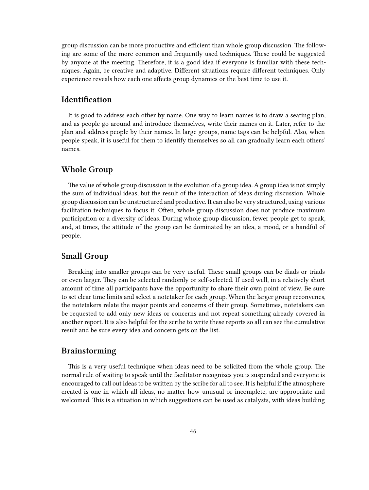group discussion can be more productive and efficient than whole group discussion. The following are some of the more common and frequently used techniques. These could be suggested by anyone at the meeting. Therefore, it is a good idea if everyone is familiar with these techniques. Again, be creative and adaptive. Different situations require different techniques. Only experience reveals how each one affects group dynamics or the best time to use it.

# <span id="page-45-0"></span>**Identification**

It is good to address each other by name. One way to learn names is to draw a seating plan, and as people go around and introduce themselves, write their names on it. Later, refer to the plan and address people by their names. In large groups, name tags can be helpful. Also, when people speak, it is useful for them to identify themselves so all can gradually learn each others' names.

#### <span id="page-45-1"></span>**Whole Group**

The value of whole group discussion is the evolution of a group idea. A group idea is not simply the sum of individual ideas, but the result of the interaction of ideas during discussion. Whole group discussion can be unstructured and productive. It can also be very structured, using various facilitation techniques to focus it. Often, whole group discussion does not produce maximum participation or a diversity of ideas. During whole group discussion, fewer people get to speak, and, at times, the attitude of the group can be dominated by an idea, a mood, or a handful of people.

#### <span id="page-45-2"></span>**Small Group**

Breaking into smaller groups can be very useful. These small groups can be diads or triads or even larger. They can be selected randomly or self-selected. If used well, in a relatively short amount of time all participants have the opportunity to share their own point of view. Be sure to set clear time limits and select a notetaker for each group. When the larger group reconvenes, the notetakers relate the major points and concerns of their group. Sometimes, notetakers can be requested to add only new ideas or concerns and not repeat something already covered in another report. It is also helpful for the scribe to write these reports so all can see the cumulative result and be sure every idea and concern gets on the list.

#### <span id="page-45-3"></span>**Brainstorming**

This is a very useful technique when ideas need to be solicited from the whole group. The normal rule of waiting to speak until the facilitator recognizes you is suspended and everyone is encouraged to call out ideas to be written by the scribe for all to see. It is helpful if the atmosphere created is one in which all ideas, no matter how unusual or incomplete, are appropriate and welcomed. This is a situation in which suggestions can be used as catalysts, with ideas building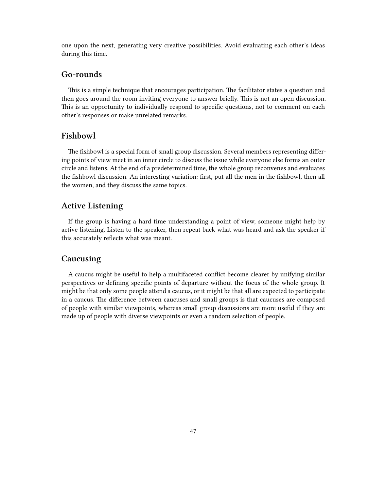one upon the next, generating very creative possibilities. Avoid evaluating each other's ideas during this time.

#### <span id="page-46-0"></span>**Go-rounds**

This is a simple technique that encourages participation. The facilitator states a question and then goes around the room inviting everyone to answer briefly. This is not an open discussion. This is an opportunity to individually respond to specific questions, not to comment on each other's responses or make unrelated remarks.

### <span id="page-46-1"></span>**Fishbowl**

The fishbowl is a special form of small group discussion. Several members representing differing points of view meet in an inner circle to discuss the issue while everyone else forms an outer circle and listens. At the end of a predetermined time, the whole group reconvenes and evaluates the fishbowl discussion. An interesting variation: first, put all the men in the fishbowl, then all the women, and they discuss the same topics.

#### <span id="page-46-2"></span>**Active Listening**

If the group is having a hard time understanding a point of view, someone might help by active listening. Listen to the speaker, then repeat back what was heard and ask the speaker if this accurately reflects what was meant.

### <span id="page-46-3"></span>**Caucusing**

A caucus might be useful to help a multifaceted conflict become clearer by unifying similar perspectives or defining specific points of departure without the focus of the whole group. It might be that only some people attend a caucus, or it might be that all are expected to participate in a caucus. The difference between caucuses and small groups is that caucuses are composed of people with similar viewpoints, whereas small group discussions are more useful if they are made up of people with diverse viewpoints or even a random selection of people.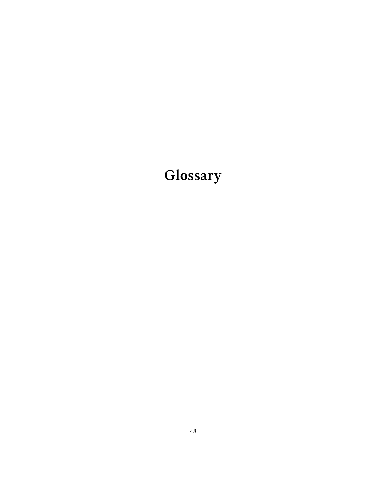# <span id="page-47-0"></span>**Glossary**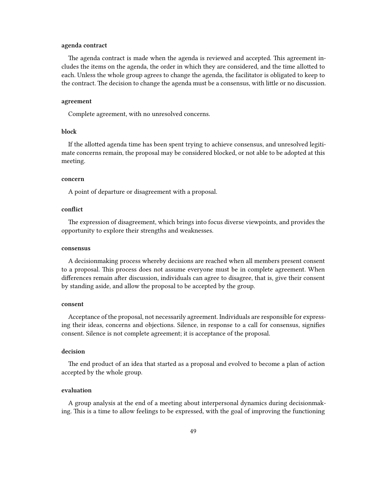#### **agenda contract**

The agenda contract is made when the agenda is reviewed and accepted. This agreement includes the items on the agenda, the order in which they are considered, and the time allotted to each. Unless the whole group agrees to change the agenda, the facilitator is obligated to keep to the contract. The decision to change the agenda must be a consensus, with little or no discussion.

#### **agreement**

Complete agreement, with no unresolved concerns.

#### **block**

If the allotted agenda time has been spent trying to achieve consensus, and unresolved legitimate concerns remain, the proposal may be considered blocked, or not able to be adopted at this meeting.

#### **concern**

A point of departure or disagreement with a proposal.

#### **conflict**

The expression of disagreement, which brings into focus diverse viewpoints, and provides the opportunity to explore their strengths and weaknesses.

#### **consensus**

A decisionmaking process whereby decisions are reached when all members present consent to a proposal. This process does not assume everyone must be in complete agreement. When differences remain after discussion, individuals can agree to disagree, that is, give their consent by standing aside, and allow the proposal to be accepted by the group.

#### **consent**

Acceptance of the proposal, not necessarily agreement. Individuals are responsible for expressing their ideas, concerns and objections. Silence, in response to a call for consensus, signifies consent. Silence is not complete agreement; it is acceptance of the proposal.

#### **decision**

The end product of an idea that started as a proposal and evolved to become a plan of action accepted by the whole group.

#### **evaluation**

A group analysis at the end of a meeting about interpersonal dynamics during decisionmaking. This is a time to allow feelings to be expressed, with the goal of improving the functioning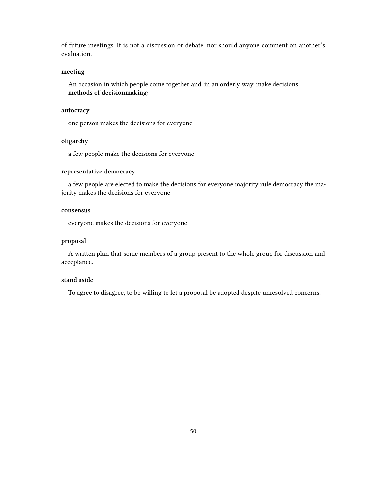of future meetings. It is not a discussion or debate, nor should anyone comment on another's evaluation.

#### **meeting**

An occasion in which people come together and, in an orderly way, make decisions. **methods of decisionmaking:**

#### **autocracy**

one person makes the decisions for everyone

#### **oligarchy**

a few people make the decisions for everyone

#### **representative democracy**

a few people are elected to make the decisions for everyone majority rule democracy the majority makes the decisions for everyone

#### **consensus**

everyone makes the decisions for everyone

#### **proposal**

A written plan that some members of a group present to the whole group for discussion and acceptance.

#### **stand aside**

To agree to disagree, to be willing to let a proposal be adopted despite unresolved concerns.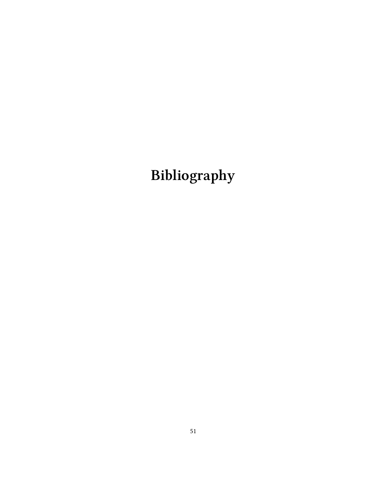# <span id="page-50-0"></span>**Bibliography**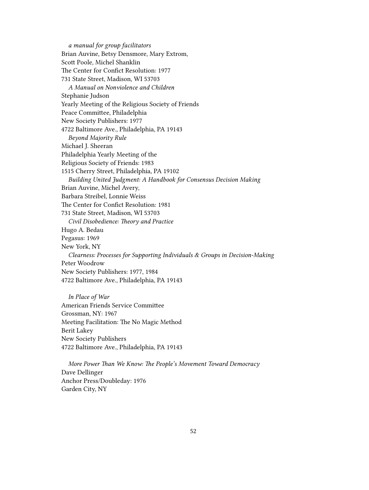*a manual for group facilitators* Brian Auvine, Betsy Densmore, Mary Extrom, Scott Poole, Michel Shanklin The Center for Confict Resolution: 1977 731 State Street, Madison, WI 53703 *A Manual on Nonviolence and Children* Stephanie Judson Yearly Meeting of the Religious Society of Friends Peace Committee, Philadelphia New Society Publishers: 1977 4722 Baltimore Ave., Philadelphia, PA 19143 *Beyond Majority Rule* Michael J. Sheeran Philadelphia Yearly Meeting of the Religious Society of Friends: 1983 1515 Cherry Street, Philadelphia, PA 19102 *Building United Judgment: A Handbook for Consensus Decision Making* Brian Auvine, Michel Avery, Barbara Streibel, Lonnie Weiss The Center for Confict Resolution: 1981 731 State Street, Madison, WI 53703 *Civil Disobedience: Theory and Practice* Hugo A. Bedau Pegasus: 1969 New York, NY *Clearness: Processes for Supporting Individuals & Groups in Decision-Making* Peter Woodrow New Society Publishers: 1977, 1984 4722 Baltimore Ave., Philadelphia, PA 19143

*In Place of War* American Friends Service Committee Grossman, NY: 1967 Meeting Facilitation: The No Magic Method Berit Lakey New Society Publishers 4722 Baltimore Ave., Philadelphia, PA 19143

*More Power Than We Know: The People's Movement Toward Democracy* Dave Dellinger Anchor Press/Doubleday: 1976 Garden City, NY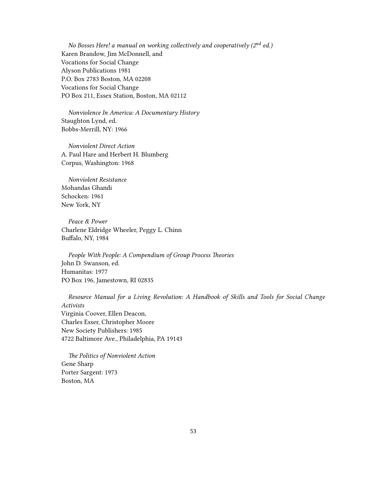*No Bosses Here! a manual on working collectively and cooperatively (2nd ed.)* Karen Brandow, Jim McDonnell, and Vocations for Social Change Alyson Publications 1981 P.O. Box 2783 Boston, MA 02208 Vocations for Social Change PO Box 211, Essex Station, Boston, MA 02112

*Nonviolence In America: A Documentary History* Staughton Lynd, ed. Bobbs-Merrill, NY: 1966

*Nonviolent Direct Action* A. Paul Hare and Herbert H. Blumberg Corpus, Washington: 1968

*Nonviolent Resistance* Mohandas Ghandi Schocken: 1961 New York, NY

*Peace & Power* Charlene Eldridge Wheeler, Peggy L. Chinn Buffalo, NY, 1984

*People With People: A Compendium of Group Process Theories* John D. Swanson, ed. Humanitas: 1977 PO Box 196, Jamestown, RI 02835

*Resource Manual for a Living Revolution: A Handbook of Skills and Tools for Social Change Activists* Virginia Coover, Ellen Deacon, Charles Esser, Christopher Moore New Society Publishers: 1985 4722 Baltimore Ave., Philadelphia, PA 19143

*The Politics of Nonviolent Action* Gene Sharp Porter Sargent: 1973 Boston, MA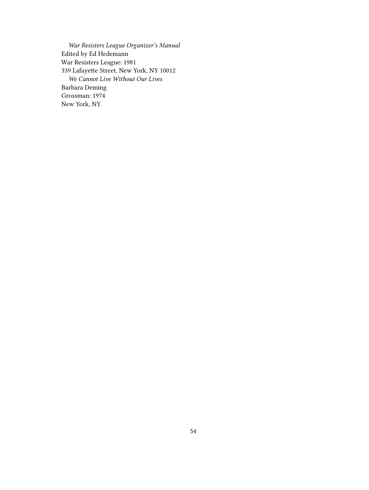*War Resisters League Organizer's Manual* Edited by Ed Hedemann War Resisters League: 1981 339 Lafayette Street, New York, NY 10012 *We Cannot Live Without Our Lives* Barbara Deming Grossman: 1974 New York, NY